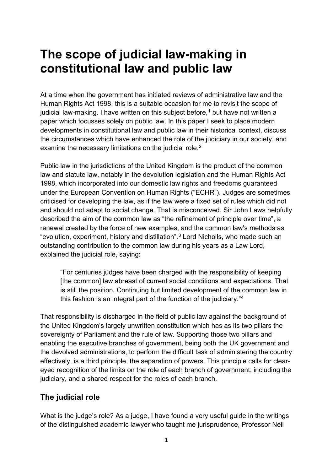# **The scope of judicial law-making in constitutional law and public law**

At a time when the government has initiated reviews of administrative law and the Human Rights Act 1998, this is a suitable occasion for me to revisit the scope of judicial law-making. I have written on this subject before,<sup>[1](#page-28-0)</sup> but have not written a paper which focusses solely on public law. In this paper I seek to place modern developments in constitutional law and public law in their historical context, discuss the circumstances which have enhanced the role of the judiciary in our society, and examine the necessary limitations on the judicial role.<sup>[2](#page-28-1)</sup>

Public law in the jurisdictions of the United Kingdom is the product of the common law and statute law, notably in the devolution legislation and the Human Rights Act 1998, which incorporated into our domestic law rights and freedoms guaranteed under the European Convention on Human Rights ("ECHR"). Judges are sometimes criticised for developing the law, as if the law were a fixed set of rules which did not and should not adapt to social change. That is misconceived. Sir John Laws helpfully described the aim of the common law as "the refinement of principle over time", a renewal created by the force of new examples, and the common law's methods as "evolution, experiment, history and distillation".[3](#page-28-2) Lord Nicholls, who made such an outstanding contribution to the common law during his years as a Law Lord, explained the judicial role, saying:

"For centuries judges have been charged with the responsibility of keeping [the common] law abreast of current social conditions and expectations. That is still the position. Continuing but limited development of the common law in this fashion is an integral part of the function of the judiciary."[4](#page-28-3)

That responsibility is discharged in the field of public law against the background of the United Kingdom's largely unwritten constitution which has as its two pillars the sovereignty of Parliament and the rule of law. Supporting those two pillars and enabling the executive branches of government, being both the UK government and the devolved administrations, to perform the difficult task of administering the country effectively, is a third principle, the separation of powers. This principle calls for cleareyed recognition of the limits on the role of each branch of government, including the judiciary, and a shared respect for the roles of each branch.

### **The judicial role**

What is the judge's role? As a judge, I have found a very useful guide in the writings of the distinguished academic lawyer who taught me jurisprudence, Professor Neil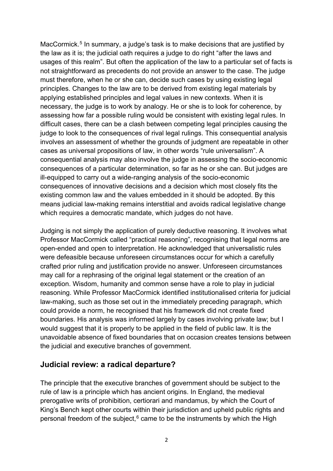MacCormick.<sup>[5](#page-28-4)</sup> In summary, a judge's task is to make decisions that are justified by the law as it is; the judicial oath requires a judge to do right "after the laws and usages of this realm". But often the application of the law to a particular set of facts is not straightforward as precedents do not provide an answer to the case. The judge must therefore, when he or she can, decide such cases by using existing legal principles. Changes to the law are to be derived from existing legal materials by applying established principles and legal values in new contexts. When it is necessary, the judge is to work by analogy. He or she is to look for coherence, by assessing how far a possible ruling would be consistent with existing legal rules. In difficult cases, there can be a clash between competing legal principles causing the judge to look to the consequences of rival legal rulings. This consequential analysis involves an assessment of whether the grounds of judgment are repeatable in other cases as universal propositions of law, in other words "rule universalism". A consequential analysis may also involve the judge in assessing the socio-economic consequences of a particular determination, so far as he or she can. But judges are ill-equipped to carry out a wide-ranging analysis of the socio-economic consequences of innovative decisions and a decision which most closely fits the existing common law and the values embedded in it should be adopted. By this means judicial law-making remains interstitial and avoids radical legislative change which requires a democratic mandate, which judges do not have.

Judging is not simply the application of purely deductive reasoning. It involves what Professor MacCormick called "practical reasoning", recognising that legal norms are open-ended and open to interpretation. He acknowledged that universalistic rules were defeasible because unforeseen circumstances occur for which a carefully crafted prior ruling and justification provide no answer. Unforeseen circumstances may call for a rephrasing of the original legal statement or the creation of an exception. Wisdom, humanity and common sense have a role to play in judicial reasoning. While Professor MacCormick identified institutionalised criteria for judicial law-making, such as those set out in the immediately preceding paragraph, which could provide a norm, he recognised that his framework did not create fixed boundaries. His analysis was informed largely by cases involving private law; but I would suggest that it is properly to be applied in the field of public law. It is the unavoidable absence of fixed boundaries that on occasion creates tensions between the judicial and executive branches of government.

#### **Judicial review: a radical departure?**

The principle that the executive branches of government should be subject to the rule of law is a principle which has ancient origins. In England, the medieval prerogative writs of prohibition, certiorari and mandamus, by which the Court of King's Bench kept other courts within their jurisdiction and upheld public rights and personal freedom of the subject, [6](#page-28-5) came to be the instruments by which the High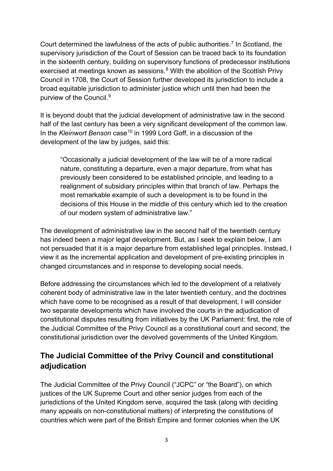Court determined the lawfulness of the acts of public authorities.<sup>[7](#page-28-6)</sup> In Scotland, the supervisory jurisdiction of the Court of Session can be traced back to its foundation in the sixteenth century, building on supervisory functions of predecessor institutions exercised at meetings known as sessions. $8$  With the abolition of the Scottish Privy Council in 1708, the Court of Session further developed its jurisdiction to include a broad equitable jurisdiction to administer justice which until then had been the purview of the Council.[9](#page-28-8)

It is beyond doubt that the judicial development of administrative law in the second half of the last century has been a very significant development of the common law. In the *Kleinwort Benson* case<sup>[10](#page-28-9)</sup> in 1999 Lord Goff, in a discussion of the development of the law by judges, said this:

"Occasionally a judicial development of the law will be of a more radical nature, constituting a departure, even a major departure, from what has previously been considered to be established principle, and leading to a realignment of subsidiary principles within that branch of law. Perhaps the most remarkable example of such a development is to be found in the decisions of this House in the middle of this century which led to the creation of our modern system of administrative law."

The development of administrative law in the second half of the twentieth century has indeed been a major legal development. But, as I seek to explain below, I am not persuaded that it is a major departure from established legal principles. Instead, I view it as the incremental application and development of pre-existing principles in changed circumstances and in response to developing social needs.

Before addressing the circumstances which led to the development of a relatively coherent body of administrative law in the later twentieth century, and the doctrines which have come to be recognised as a result of that development, I will consider two separate developments which have involved the courts in the adjudication of constitutional disputes resulting from initiatives by the UK Parliament: first, the role of the Judicial Committee of the Privy Council as a constitutional court and second, the constitutional jurisdiction over the devolved governments of the United Kingdom.

## **The Judicial Committee of the Privy Council and constitutional adjudication**

The Judicial Committee of the Privy Council ("JCPC" or "the Board"), on which justices of the UK Supreme Court and other senior judges from each of the jurisdictions of the United Kingdom serve, acquired the task (along with deciding many appeals on non-constitutional matters) of interpreting the constitutions of countries which were part of the British Empire and former colonies when the UK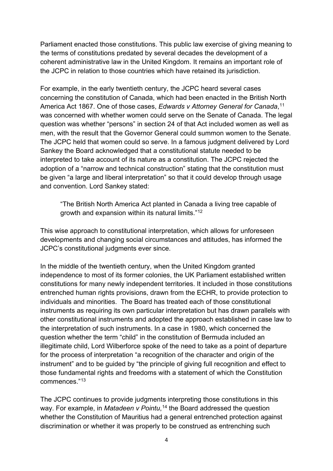Parliament enacted those constitutions. This public law exercise of giving meaning to the terms of constitutions predated by several decades the development of a coherent administrative law in the United Kingdom. It remains an important role of the JCPC in relation to those countries which have retained its jurisdiction.

For example, in the early twentieth century, the JCPC heard several cases concerning the constitution of Canada, which had been enacted in the British North America Act 1867. One of those cases, *Edwards v Attorney General for Canada*, [11](#page-28-10) was concerned with whether women could serve on the Senate of Canada. The legal question was whether "persons" in section 24 of that Act included women as well as men, with the result that the Governor General could summon women to the Senate. The JCPC held that women could so serve. In a famous judgment delivered by Lord Sankey the Board acknowledged that a constitutional statute needed to be interpreted to take account of its nature as a constitution. The JCPC rejected the adoption of a "narrow and technical construction" stating that the constitution must be given "a large and liberal interpretation" so that it could develop through usage and convention. Lord Sankey stated:

"The British North America Act planted in Canada a living tree capable of growth and expansion within its natural limits."[12](#page-28-11)

This wise approach to constitutional interpretation, which allows for unforeseen developments and changing social circumstances and attitudes, has informed the JCPC's constitutional judgments ever since.

In the middle of the twentieth century, when the United Kingdom granted independence to most of its former colonies, the UK Parliament established written constitutions for many newly independent territories. It included in those constitutions entrenched human rights provisions, drawn from the ECHR, to provide protection to individuals and minorities. The Board has treated each of those constitutional instruments as requiring its own particular interpretation but has drawn parallels with other constitutional instruments and adopted the approach established in case law to the interpretation of such instruments. In a case in 1980, which concerned the question whether the term "child" in the constitution of Bermuda included an illegitimate child, Lord Wilberforce spoke of the need to take as a point of departure for the process of interpretation "a recognition of the character and origin of the instrument" and to be guided by "the principle of giving full recognition and effect to those fundamental rights and freedoms with a statement of which the Constitution commences."[13](#page-28-12)

The JCPC continues to provide judgments interpreting those constitutions in this way. For example, in *Matadeen v Pointu*, [14](#page-28-13) the Board addressed the question whether the Constitution of Mauritius had a general entrenched protection against discrimination or whether it was properly to be construed as entrenching such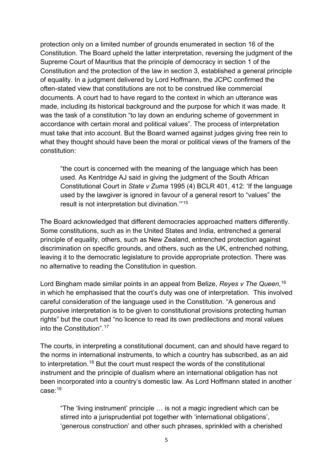protection only on a limited number of grounds enumerated in section 16 of the Constitution. The Board upheld the latter interpretation, reversing the judgment of the Supreme Court of Mauritius that the principle of democracy in section 1 of the Constitution and the protection of the law in section 3, established a general principle of equality. In a judgment delivered by Lord Hoffmann, the JCPC confirmed the often-stated view that constitutions are not to be construed like commercial documents. A court had to have regard to the context in which an utterance was made, including its historical background and the purpose for which it was made. It was the task of a constitution "to lay down an enduring scheme of government in accordance with certain moral and political values". The process of interpretation must take that into account. But the Board warned against judges giving free rein to what they thought should have been the moral or political views of the framers of the constitution:

"the court is concerned with the meaning of the language which has been used. As Kentridge AJ said in giving the judgment of the South African Constitutional Court in *State v Zuma* 1995 (4) BCLR 401, 412: 'If the language used by the lawgiver is ignored in favour of a general resort to "values" the result is not interpretation but divination.'"[15](#page-28-14)

The Board acknowledged that different democracies approached matters differently. Some constitutions, such as in the United States and India, entrenched a general principle of equality, others, such as New Zealand, entrenched protection against discrimination on specific grounds, and others, such as the UK, entrenched nothing, leaving it to the democratic legislature to provide appropriate protection. There was no alternative to reading the Constitution in question.

Lord Bingham made similar points in an appeal from Belize, *Reyes v The Queen*, [16](#page-28-15) in which he emphasised that the court's duty was one of interpretation. This involved careful consideration of the language used in the Constitution. "A generous and purposive interpretation is to be given to constitutional provisions protecting human rights" but the court had "no licence to read its own predilections and moral values into the Constitution" [17](#page-28-16)

The courts, in interpreting a constitutional document, can and should have regard to the norms in international instruments, to which a country has subscribed, as an aid to interpretation.[18](#page-28-17) But the court must respect the words of the constitutional instrument and the principle of dualism where an international obligation has not been incorporated into a country's domestic law. As Lord Hoffmann stated in another case:[19](#page-28-18)

"The 'living instrument' principle … is not a magic ingredient which can be stirred into a jurisprudential pot together with 'international obligations', 'generous construction' and other such phrases, sprinkled with a cherished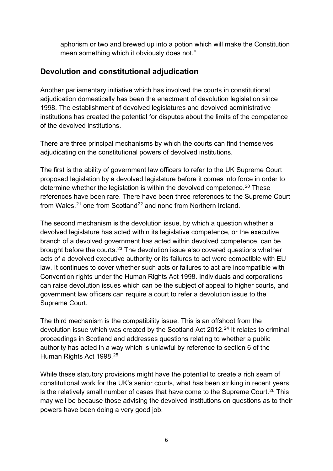aphorism or two and brewed up into a potion which will make the Constitution mean something which it obviously does not."

#### **Devolution and constitutional adjudication**

Another parliamentary initiative which has involved the courts in constitutional adjudication domestically has been the enactment of devolution legislation since 1998. The establishment of devolved legislatures and devolved administrative institutions has created the potential for disputes about the limits of the competence of the devolved institutions.

There are three principal mechanisms by which the courts can find themselves adjudicating on the constitutional powers of devolved institutions.

The first is the ability of government law officers to refer to the UK Supreme Court proposed legislation by a devolved legislature before it comes into force in order to determine whether the legislation is within the devolved competence.<sup>[20](#page-28-19)</sup> These references have been rare. There have been three references to the Supreme Court from Wales, <sup>[21](#page-28-20)</sup> one from Scotland<sup>[22](#page-28-21)</sup> and none from Northern Ireland.

The second mechanism is the devolution issue, by which a question whether a devolved legislature has acted within its legislative competence, or the executive branch of a devolved government has acted within devolved competence, can be brought before the courts.[23](#page-28-22) The devolution issue also covered questions whether acts of a devolved executive authority or its failures to act were compatible with EU law. It continues to cover whether such acts or failures to act are incompatible with Convention rights under the Human Rights Act 1998. Individuals and corporations can raise devolution issues which can be the subject of appeal to higher courts, and government law officers can require a court to refer a devolution issue to the Supreme Court.

The third mechanism is the compatibility issue. This is an offshoot from the devolution issue which was created by the Scotland Act  $2012<sup>24</sup>$  $2012<sup>24</sup>$  $2012<sup>24</sup>$  It relates to criminal proceedings in Scotland and addresses questions relating to whether a public authority has acted in a way which is unlawful by reference to section 6 of the Human Rights Act 1998.<sup>[25](#page-28-24)</sup>

While these statutory provisions might have the potential to create a rich seam of constitutional work for the UK's senior courts, what has been striking in recent years is the relatively small number of cases that have come to the Supreme Court.<sup>[26](#page-28-25)</sup> This may well be because those advising the devolved institutions on questions as to their powers have been doing a very good job.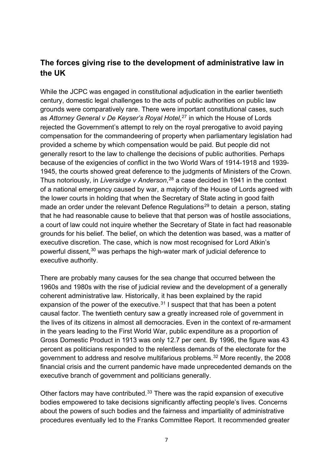### **The forces giving rise to the development of administrative law in the UK**

While the JCPC was engaged in constitutional adjudication in the earlier twentieth century, domestic legal challenges to the acts of public authorities on public law grounds were comparatively rare. There were important constitutional cases, such as *Attorney General v De Keyser's Royal Hotel*, [27](#page-29-0) in which the House of Lords rejected the Government's attempt to rely on the royal prerogative to avoid paying compensation for the commandeering of property when parliamentary legislation had provided a scheme by which compensation would be paid. But people did not generally resort to the law to challenge the decisions of public authorities. Perhaps because of the exigencies of conflict in the two World Wars of 1914-1918 and 1939- 1945, the courts showed great deference to the judgments of Ministers of the Crown. Thus notoriously, in *Liversidge v Anderson*, [28](#page-29-1) a case decided in 1941 in the context of a national emergency caused by war, a majority of the House of Lords agreed with the lower courts in holding that when the Secretary of State acting in good faith made an order under the relevant Defence Regulations<sup>[29](#page-29-2)</sup> to detain a person, stating that he had reasonable cause to believe that that person was of hostile associations, a court of law could not inquire whether the Secretary of State in fact had reasonable grounds for his belief. The belief, on which the detention was based, was a matter of executive discretion. The case, which is now most recognised for Lord Atkin's powerful dissent,[30](#page-29-3) was perhaps the high-water mark of judicial deference to executive authority.

There are probably many causes for the sea change that occurred between the 1960s and 1980s with the rise of judicial review and the development of a generally coherent administrative law. Historically, it has been explained by the rapid expansion of the power of the executive. $31$  I suspect that that has been a potent causal factor. The twentieth century saw a greatly increased role of government in the lives of its citizens in almost all democracies. Even in the context of re-armament in the years leading to the First World War, public expenditure as a proportion of Gross Domestic Product in 1913 was only 12.7 per cent. By 1996, the figure was 43 percent as politicians responded to the relentless demands of the electorate for the government to address and resolve multifarious problems.[32](#page-29-5) More recently, the 2008 financial crisis and the current pandemic have made unprecedented demands on the executive branch of government and politicians generally.

Other factors may have contributed.[33](#page-29-6) There was the rapid expansion of executive bodies empowered to take decisions significantly affecting people's lives. Concerns about the powers of such bodies and the fairness and impartiality of administrative procedures eventually led to the Franks Committee Report. It recommended greater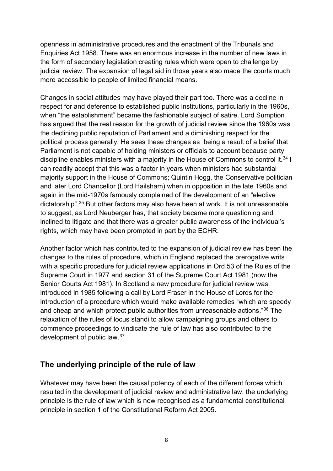openness in administrative procedures and the enactment of the Tribunals and Enquiries Act 1958. There was an enormous increase in the number of new laws in the form of secondary legislation creating rules which were open to challenge by judicial review. The expansion of legal aid in those years also made the courts much more accessible to people of limited financial means.

Changes in social attitudes may have played their part too. There was a decline in respect for and deference to established public institutions, particularly in the 1960s, when "the establishment" became the fashionable subject of satire. Lord Sumption has argued that the real reason for the growth of judicial review since the 1960s was the declining public reputation of Parliament and a diminishing respect for the political process generally. He sees these changes as being a result of a belief that Parliament is not capable of holding ministers or officials to account because party discipline enables ministers with a majority in the House of Commons to control it.<sup>[34](#page-29-7)</sup> I can readily accept that this was a factor in years when ministers had substantial majority support in the House of Commons; Quintin Hogg, the Conservative politician and later Lord Chancellor (Lord Hailsham) when in opposition in the late 1960s and again in the mid-1970s famously complained of the development of an "elective dictatorship".[35](#page-29-8) But other factors may also have been at work. It is not unreasonable to suggest, as Lord Neuberger has, that society became more questioning and inclined to litigate and that there was a greater public awareness of the individual's rights, which may have been prompted in part by the ECHR.

Another factor which has contributed to the expansion of judicial review has been the changes to the rules of procedure, which in England replaced the prerogative writs with a specific procedure for judicial review applications in Ord 53 of the Rules of the Supreme Court in 1977 and section 31 of the Supreme Court Act 1981 (now the Senior Courts Act 1981). In Scotland a new procedure for judicial review was introduced in 1985 following a call by Lord Fraser in the House of Lords for the introduction of a procedure which would make available remedies "which are speedy and cheap and which protect public authorities from unreasonable actions."[36](#page-29-9) The relaxation of the rules of locus standi to allow campaigning groups and others to commence proceedings to vindicate the rule of law has also contributed to the development of public law.[37](#page-29-10)

#### **The underlying principle of the rule of law**

Whatever may have been the causal potency of each of the different forces which resulted in the development of judicial review and administrative law, the underlying principle is the rule of law which is now recognised as a fundamental constitutional principle in section 1 of the Constitutional Reform Act 2005.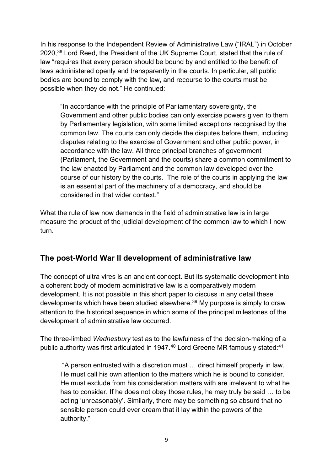In his response to the Independent Review of Administrative Law ("IRAL") in October 2020,[38](#page-29-11) Lord Reed, the President of the UK Supreme Court, stated that the rule of law "requires that every person should be bound by and entitled to the benefit of laws administered openly and transparently in the courts. In particular, all public bodies are bound to comply with the law, and recourse to the courts must be possible when they do not." He continued:

"In accordance with the principle of Parliamentary sovereignty, the Government and other public bodies can only exercise powers given to them by Parliamentary legislation, with some limited exceptions recognised by the common law. The courts can only decide the disputes before them, including disputes relating to the exercise of Government and other public power, in accordance with the law. All three principal branches of government (Parliament, the Government and the courts) share a common commitment to the law enacted by Parliament and the common law developed over the course of our history by the courts. The role of the courts in applying the law is an essential part of the machinery of a democracy, and should be considered in that wider context."

What the rule of law now demands in the field of administrative law is in large measure the product of the judicial development of the common law to which I now turn.

### **The post-World War II development of administrative law**

The concept of ultra vires is an ancient concept. But its systematic development into a coherent body of modern administrative law is a comparatively modern development. It is not possible in this short paper to discuss in any detail these developments which have been studied elsewhere.<sup>[39](#page-29-12)</sup> My purpose is simply to draw attention to the historical sequence in which some of the principal milestones of the development of administrative law occurred.

The three-limbed *Wednesbury* test as to the lawfulness of the decision-making of a public authority was first articulated in 1947.<sup>[40](#page-29-13)</sup> Lord Greene MR famously stated:<sup>[41](#page-29-14)</sup>

"A person entrusted with a discretion must … direct himself properly in law. He must call his own attention to the matters which he is bound to consider. He must exclude from his consideration matters with are irrelevant to what he has to consider. If he does not obey those rules, he may truly be said … to be acting 'unreasonably'. Similarly, there may be something so absurd that no sensible person could ever dream that it lay within the powers of the authority."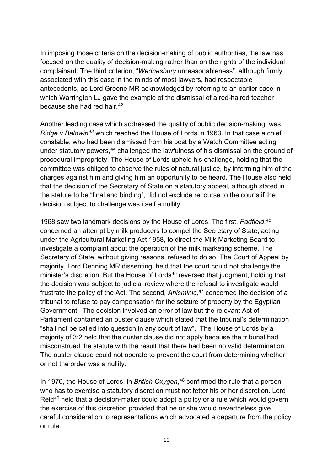In imposing those criteria on the decision-making of public authorities, the law has focused on the quality of decision-making rather than on the rights of the individual complainant. The third criterion, "*Wednesbury* unreasonableness", although firmly associated with this case in the minds of most lawyers, had respectable antecedents, as Lord Greene MR acknowledged by referring to an earlier case in which Warrington LJ gave the example of the dismissal of a red-haired teacher because she had red hair.[42](#page-29-15)

Another leading case which addressed the quality of public decision-making, was *Ridge v Baldwin[43](#page-29-16)* which reached the House of Lords in 1963. In that case a chief constable, who had been dismissed from his post by a Watch Committee acting under statutory powers,<sup>[44](#page-29-17)</sup> challenged the lawfulness of his dismissal on the ground of procedural impropriety. The House of Lords upheld his challenge, holding that the committee was obliged to observe the rules of natural justice, by informing him of the charges against him and giving him an opportunity to be heard. The House also held that the decision of the Secretary of State on a statutory appeal, although stated in the statute to be "final and binding", did not exclude recourse to the courts if the decision subject to challenge was itself a nullity.

1968 saw two landmark decisions by the House of Lords. The first, *Padfield*, [45](#page-29-18) concerned an attempt by milk producers to compel the Secretary of State, acting under the Agricultural Marketing Act 1958, to direct the Milk Marketing Board to investigate a complaint about the operation of the milk marketing scheme. The Secretary of State, without giving reasons, refused to do so. The Court of Appeal by majority, Lord Denning MR dissenting, held that the court could not challenge the minister's discretion. But the House of Lords<sup>[46](#page-29-19)</sup> reversed that judgment, holding that the decision was subject to judicial review where the refusal to investigate would frustrate the policy of the Act. The second, *Anisminic*, [47](#page-29-20) concerned the decision of a tribunal to refuse to pay compensation for the seizure of property by the Egyptian Government. The decision involved an error of law but the relevant Act of Parliament contained an ouster clause which stated that the tribunal's determination "shall not be called into question in any court of law". The House of Lords by a majority of 3:2 held that the ouster clause did not apply because the tribunal had misconstrued the statute with the result that there had been no valid determination. The ouster clause could not operate to prevent the court from determining whether or not the order was a nullity.

In 1970, the House of Lords, in *British Oxygen*, [48](#page-29-21) confirmed the rule that a person who has to exercise a statutory discretion must not fetter his or her discretion. Lord Reid[49](#page-29-22) held that a decision-maker could adopt a policy or a rule which would govern the exercise of this discretion provided that he or she would nevertheless give careful consideration to representations which advocated a departure from the policy or rule.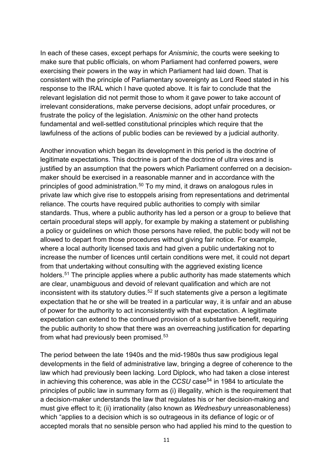In each of these cases, except perhaps for *Anisminic*, the courts were seeking to make sure that public officials, on whom Parliament had conferred powers, were exercising their powers in the way in which Parliament had laid down. That is consistent with the principle of Parliamentary sovereignty as Lord Reed stated in his response to the IRAL which I have quoted above. It is fair to conclude that the relevant legislation did not permit those to whom it gave power to take account of irrelevant considerations, make perverse decisions, adopt unfair procedures, or frustrate the policy of the legislation. *Anisminic* on the other hand protects fundamental and well-settled constitutional principles which require that the lawfulness of the actions of public bodies can be reviewed by a judicial authority.

Another innovation which began its development in this period is the doctrine of legitimate expectations. This doctrine is part of the doctrine of ultra vires and is justified by an assumption that the powers which Parliament conferred on a decisionmaker should be exercised in a reasonable manner and in accordance with the principles of good administration.<sup>[50](#page-29-23)</sup> To my mind, it draws on analogous rules in private law which give rise to estoppels arising from representations and detrimental reliance. The courts have required public authorities to comply with similar standards. Thus, where a public authority has led a person or a group to believe that certain procedural steps will apply, for example by making a statement or publishing a policy or guidelines on which those persons have relied, the public body will not be allowed to depart from those procedures without giving fair notice. For example, where a local authority licensed taxis and had given a public undertaking not to increase the number of licences until certain conditions were met, it could not depart from that undertaking without consulting with the aggrieved existing licence holders.<sup>[51](#page-29-24)</sup> The principle applies where a public authority has made statements which are clear, unambiguous and devoid of relevant qualification and which are not inconsistent with its statutory duties.<sup>[52](#page-29-25)</sup> If such statements give a person a legitimate expectation that he or she will be treated in a particular way, it is unfair and an abuse of power for the authority to act inconsistently with that expectation. A legitimate expectation can extend to the continued provision of a substantive benefit, requiring the public authority to show that there was an overreaching justification for departing from what had previously been promised.<sup>[53](#page-29-26)</sup>

The period between the late 1940s and the mid-1980s thus saw prodigious legal developments in the field of administrative law, bringing a degree of coherence to the law which had previously been lacking. Lord Diplock, who had taken a close interest in achieving this coherence, was able in the *CCSU* case<sup>[54](#page-29-27)</sup> in 1984 to articulate the principles of public law in summary form as (i) illegality, which is the requirement that a decision-maker understands the law that regulates his or her decision-making and must give effect to it; (ii) irrationality (also known as *Wednesbury* unreasonableness) which "applies to a decision which is so outrageous in its defiance of logic or of accepted morals that no sensible person who had applied his mind to the question to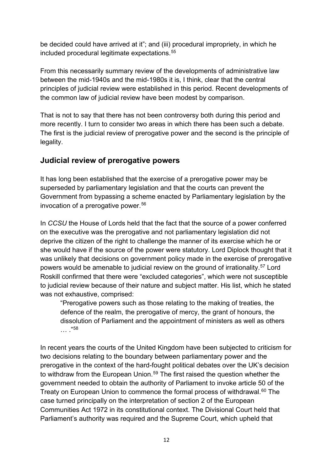be decided could have arrived at it"; and (iii) procedural impropriety, in which he included procedural legitimate expectations.<sup>[55](#page-29-28)</sup>

From this necessarily summary review of the developments of administrative law between the mid-1940s and the mid-1980s it is, I think, clear that the central principles of judicial review were established in this period. Recent developments of the common law of judicial review have been modest by comparison.

That is not to say that there has not been controversy both during this period and more recently. I turn to consider two areas in which there has been such a debate. The first is the judicial review of prerogative power and the second is the principle of legality.

#### **Judicial review of prerogative powers**

It has long been established that the exercise of a prerogative power may be superseded by parliamentary legislation and that the courts can prevent the Government from bypassing a scheme enacted by Parliamentary legislation by the invocation of a prerogative power.<sup>[56](#page-29-29)</sup>

In *CCSU* the House of Lords held that the fact that the source of a power conferred on the executive was the prerogative and not parliamentary legislation did not deprive the citizen of the right to challenge the manner of its exercise which he or she would have if the source of the power were statutory. Lord Diplock thought that it was unlikely that decisions on government policy made in the exercise of prerogative powers would be amenable to judicial review on the ground of irrationality.[57](#page-30-0) Lord Roskill confirmed that there were "excluded categories", which were not susceptible to judicial review because of their nature and subject matter. His list, which he stated was not exhaustive, comprised:

"Prerogative powers such as those relating to the making of treaties, the defence of the realm, the prerogative of mercy, the grant of honours, the dissolution of Parliament and the appointment of ministers as well as others … ."[58](#page-30-1)

In recent years the courts of the United Kingdom have been subjected to criticism for two decisions relating to the boundary between parliamentary power and the prerogative in the context of the hard-fought political debates over the UK's decision to withdraw from the European Union.<sup>[59](#page-30-2)</sup> The first raised the question whether the government needed to obtain the authority of Parliament to invoke article 50 of the Treaty on European Union to commence the formal process of withdrawal.<sup>[60](#page-30-3)</sup> The case turned principally on the interpretation of section 2 of the European Communities Act 1972 in its constitutional context. The Divisional Court held that Parliament's authority was required and the Supreme Court, which upheld that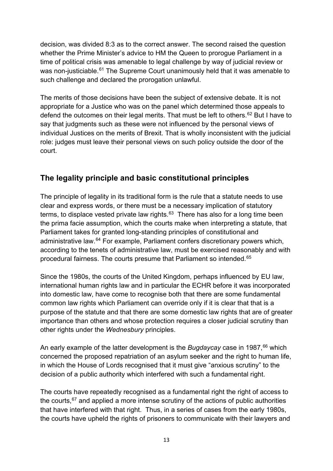decision, was divided 8:3 as to the correct answer. The second raised the question whether the Prime Minister's advice to HM the Queen to prorogue Parliament in a time of political crisis was amenable to legal challenge by way of judicial review or was non-justiciable.<sup>[61](#page-30-4)</sup> The Supreme Court unanimously held that it was amenable to such challenge and declared the prorogation unlawful.

The merits of those decisions have been the subject of extensive debate. It is not appropriate for a Justice who was on the panel which determined those appeals to defend the outcomes on their legal merits. That must be left to others.<sup>[62](#page-30-5)</sup> But I have to say that judgments such as these were not influenced by the personal views of individual Justices on the merits of Brexit. That is wholly inconsistent with the judicial role: judges must leave their personal views on such policy outside the door of the court.

### **The legality principle and basic constitutional principles**

The principle of legality in its traditional form is the rule that a statute needs to use clear and express words, or there must be a necessary implication of statutory terms, to displace vested private law rights.<sup>63</sup> There has also for a long time been the prima facie assumption, which the courts make when interpreting a statute, that Parliament takes for granted long-standing principles of constitutional and administrative law.<sup>[64](#page-30-7)</sup> For example, Parliament confers discretionary powers which, according to the tenets of administrative law, must be exercised reasonably and with procedural fairness. The courts presume that Parliament so intended.[65](#page-30-8)

Since the 1980s, the courts of the United Kingdom, perhaps influenced by EU law, international human rights law and in particular the ECHR before it was incorporated into domestic law, have come to recognise both that there are some fundamental common law rights which Parliament can override only if it is clear that that is a purpose of the statute and that there are some domestic law rights that are of greater importance than others and whose protection requires a closer judicial scrutiny than other rights under the *Wednesbury* principles.

An early example of the latter development is the *Bugdaycay* case in 1987, [66](#page-30-9) which concerned the proposed repatriation of an asylum seeker and the right to human life, in which the House of Lords recognised that it must give "anxious scrutiny" to the decision of a public authority which interfered with such a fundamental right.

The courts have repeatedly recognised as a fundamental right the right of access to the courts,  $67$  and applied a more intense scrutiny of the actions of public authorities that have interfered with that right. Thus, in a series of cases from the early 1980s, the courts have upheld the rights of prisoners to communicate with their lawyers and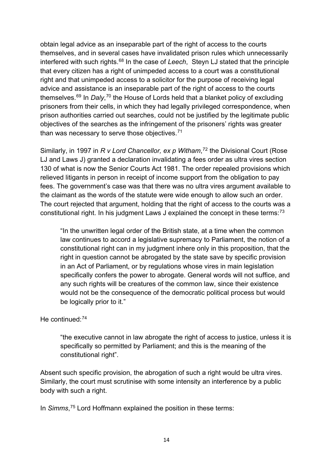obtain legal advice as an inseparable part of the right of access to the courts themselves, and in several cases have invalidated prison rules which unnecessarily interfered with such rights.[68](#page-30-11) In the case of *Leech*, Steyn LJ stated that the principle that every citizen has a right of unimpeded access to a court was a constitutional right and that unimpeded access to a solicitor for the purpose of receiving legal advice and assistance is an inseparable part of the right of access to the courts themselves.<sup>[69](#page-30-12)</sup> In *Daly*,<sup>[70](#page-30-13)</sup> the House of Lords held that a blanket policy of excluding prisoners from their cells, in which they had legally privileged correspondence, when prison authorities carried out searches, could not be justified by the legitimate public objectives of the searches as the infringement of the prisoners' rights was greater than was necessary to serve those objectives. $71$ 

Similarly, in 1997 in *R v Lord Chancellor, ex p Witham*, [72](#page-30-15) the Divisional Court (Rose LJ and Laws J) granted a declaration invalidating a fees order as ultra vires section 130 of what is now the Senior Courts Act 1981. The order repealed provisions which relieved litigants in person in receipt of income support from the obligation to pay fees. The government's case was that there was no ultra vires argument available to the claimant as the words of the statute were wide enough to allow such an order. The court rejected that argument, holding that the right of access to the courts was a constitutional right. In his judgment Laws J explained the concept in these terms:[73](#page-30-16)

"In the unwritten legal order of the British state, at a time when the common law continues to accord a legislative supremacy to Parliament, the notion of a constitutional right can in my judgment inhere only in this proposition, that the right in question cannot be abrogated by the state save by specific provision in an Act of Parliament, or by regulations whose vires in main legislation specifically confers the power to abrogate. General words will not suffice, and any such rights will be creatures of the common law, since their existence would not be the consequence of the democratic political process but would be logically prior to it."

#### He continued: $74$

"the executive cannot in law abrogate the right of access to justice, unless it is specifically so permitted by Parliament; and this is the meaning of the constitutional right".

Absent such specific provision, the abrogation of such a right would be ultra vires. Similarly, the court must scrutinise with some intensity an interference by a public body with such a right.

In *Simms*, [75](#page-30-18) Lord Hoffmann explained the position in these terms: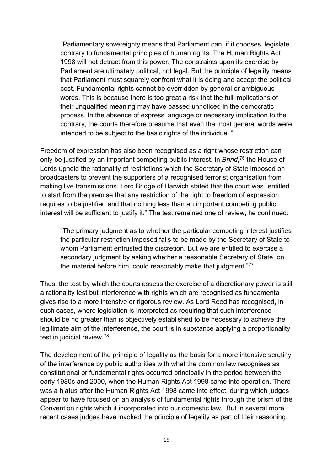"Parliamentary sovereignty means that Parliament can, if it chooses, legislate contrary to fundamental principles of human rights. The Human Rights Act 1998 will not detract from this power. The constraints upon its exercise by Parliament are ultimately political, not legal. But the principle of legality means that Parliament must squarely confront what it is doing and accept the political cost. Fundamental rights cannot be overridden by general or ambiguous words. This is because there is too great a risk that the full implications of their unqualified meaning may have passed unnoticed in the democratic process. In the absence of express language or necessary implication to the contrary, the courts therefore presume that even the most general words were intended to be subject to the basic rights of the individual."

Freedom of expression has also been recognised as a right whose restriction can only be justified by an important competing public interest. In *Brind*, [76](#page-30-19) the House of Lords upheld the rationality of restrictions which the Secretary of State imposed on broadcasters to prevent the supporters of a recognised terrorist organisation from making live transmissions. Lord Bridge of Harwich stated that the court was "entitled to start from the premise that any restriction of the right to freedom of expression requires to be justified and that nothing less than an important competing public interest will be sufficient to justify it." The test remained one of review; he continued:

"The primary judgment as to whether the particular competing interest justifies the particular restriction imposed falls to be made by the Secretary of State to whom Parliament entrusted the discretion. But we are entitled to exercise a secondary judgment by asking whether a reasonable Secretary of State, on the material before him, could reasonably make that judgment."<sup>[77](#page-30-20)</sup>

Thus, the test by which the courts assess the exercise of a discretionary power is still a rationality test but interference with rights which are recognised as fundamental gives rise to a more intensive or rigorous review. As Lord Reed has recognised, in such cases, where legislation is interpreted as requiring that such interference should be no greater than is objectively established to be necessary to achieve the legitimate aim of the interference, the court is in substance applying a proportionality test in judicial review.[78](#page-30-21)

The development of the principle of legality as the basis for a more intensive scrutiny of the interference by public authorities with what the common law recognises as constitutional or fundamental rights occurred principally in the period between the early 1980s and 2000, when the Human Rights Act 1998 came into operation. There was a hiatus after the Human Rights Act 1998 came into effect, during which judges appear to have focused on an analysis of fundamental rights through the prism of the Convention rights which it incorporated into our domestic law. But in several more recent cases judges have invoked the principle of legality as part of their reasoning.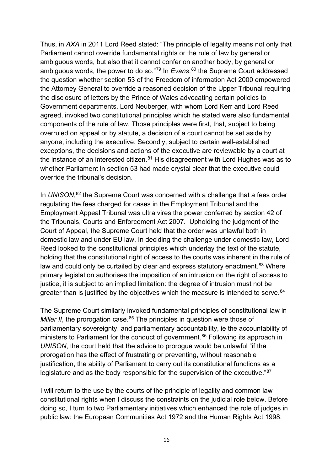Thus, in *AXA* in 2011 Lord Reed stated: "The principle of legality means not only that Parliament cannot override fundamental rights or the rule of law by general or ambiguous words, but also that it cannot confer on another body, by general or ambiguous words, the power to do so."[79](#page-30-22) In *Evans*, [80](#page-30-23) the Supreme Court addressed the question whether section 53 of the Freedom of information Act 2000 empowered the Attorney General to override a reasoned decision of the Upper Tribunal requiring the disclosure of letters by the Prince of Wales advocating certain policies to Government departments. Lord Neuberger, with whom Lord Kerr and Lord Reed agreed, invoked two constitutional principles which he stated were also fundamental components of the rule of law. Those principles were first, that, subject to being overruled on appeal or by statute, a decision of a court cannot be set aside by anyone, including the executive. Secondly, subject to certain well-established exceptions, the decisions and actions of the executive are reviewable by a court at the instance of an interested citizen. $81$  His disagreement with Lord Hughes was as to whether Parliament in section 53 had made crystal clear that the executive could override the tribunal's decision.

In *UNISON*, [82](#page-30-25) the Supreme Court was concerned with a challenge that a fees order regulating the fees charged for cases in the Employment Tribunal and the Employment Appeal Tribunal was ultra vires the power conferred by section 42 of the Tribunals, Courts and Enforcement Act 2007. Upholding the judgment of the Court of Appeal, the Supreme Court held that the order was unlawful both in domestic law and under EU law. In deciding the challenge under domestic law, Lord Reed looked to the constitutional principles which underlay the text of the statute, holding that the constitutional right of access to the courts was inherent in the rule of law and could only be curtailed by clear and express statutory enactment.<sup>[83](#page-30-26)</sup> Where primary legislation authorises the imposition of an intrusion on the right of access to justice, it is subject to an implied limitation: the degree of intrusion must not be greater than is justified by the objectives which the measure is intended to serve.<sup>[84](#page-30-27)</sup>

The Supreme Court similarly invoked fundamental principles of constitutional law in *Miller II*, the prorogation case.<sup>[85](#page-30-28)</sup> The principles in question were those of parliamentary sovereignty, and parliamentary accountability, ie the accountability of ministers to Parliament for the conduct of government.<sup>[86](#page-30-29)</sup> Following its approach in *UNISON*, the court held that the advice to prorogue would be unlawful "if the prorogation has the effect of frustrating or preventing, without reasonable justification, the ability of Parliament to carry out its constitutional functions as a legislature and as the body responsible for the supervision of the executive."<sup>[87](#page-30-30)</sup>

I will return to the use by the courts of the principle of legality and common law constitutional rights when I discuss the constraints on the judicial role below. Before doing so, I turn to two Parliamentary initiatives which enhanced the role of judges in public law: the European Communities Act 1972 and the Human Rights Act 1998.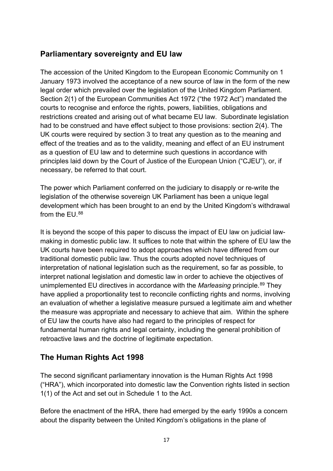#### **Parliamentary sovereignty and EU law**

The accession of the United Kingdom to the European Economic Community on 1 January 1973 involved the acceptance of a new source of law in the form of the new legal order which prevailed over the legislation of the United Kingdom Parliament. Section 2(1) of the European Communities Act 1972 ("the 1972 Act") mandated the courts to recognise and enforce the rights, powers, liabilities, obligations and restrictions created and arising out of what became EU law. Subordinate legislation had to be construed and have effect subject to those provisions: section 2(4). The UK courts were required by section 3 to treat any question as to the meaning and effect of the treaties and as to the validity, meaning and effect of an EU instrument as a question of EU law and to determine such questions in accordance with principles laid down by the Court of Justice of the European Union ("CJEU"), or, if necessary, be referred to that court.

The power which Parliament conferred on the judiciary to disapply or re-write the legislation of the otherwise sovereign UK Parliament has been a unique legal development which has been brought to an end by the United Kingdom's withdrawal from the EU. [88](#page-30-31)

It is beyond the scope of this paper to discuss the impact of EU law on judicial lawmaking in domestic public law. It suffices to note that within the sphere of EU law the UK courts have been required to adopt approaches which have differed from our traditional domestic public law. Thus the courts adopted novel techniques of interpretation of national legislation such as the requirement, so far as possible, to interpret national legislation and domestic law in order to achieve the objectives of unimplemented EU directives in accordance with the *Marleasing* principle.[89](#page-30-32) They have applied a proportionality test to reconcile conflicting rights and norms, involving an evaluation of whether a legislative measure pursued a legitimate aim and whether the measure was appropriate and necessary to achieve that aim. Within the sphere of EU law the courts have also had regard to the principles of respect for fundamental human rights and legal certainty, including the general prohibition of retroactive laws and the doctrine of legitimate expectation.

### **The Human Rights Act 1998**

The second significant parliamentary innovation is the Human Rights Act 1998 ("HRA"), which incorporated into domestic law the Convention rights listed in section 1(1) of the Act and set out in Schedule 1 to the Act.

Before the enactment of the HRA, there had emerged by the early 1990s a concern about the disparity between the United Kingdom's obligations in the plane of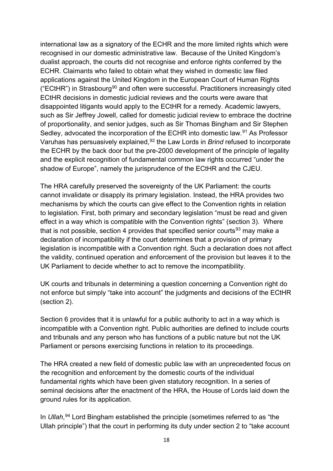international law as a signatory of the ECHR and the more limited rights which were recognised in our domestic administrative law. Because of the United Kingdom's dualist approach, the courts did not recognise and enforce rights conferred by the ECHR. Claimants who failed to obtain what they wished in domestic law filed applications against the United Kingdom in the European Court of Human Rights ("ECtHR") in Strasbourg<sup>[90](#page-30-33)</sup> and often were successful. Practitioners increasingly cited ECtHR decisions in domestic judicial reviews and the courts were aware that disappointed litigants would apply to the ECtHR for a remedy. Academic lawyers, such as Sir Jeffrey Jowell, called for domestic judicial review to embrace the doctrine of proportionality, and senior judges, such as Sir Thomas Bingham and Sir Stephen Sedley, advocated the incorporation of the ECHR into domestic law.<sup>[91](#page-30-34)</sup> As Professor Varuhas has persuasively explained,<sup>[92](#page-30-35)</sup> the Law Lords in *Brind* refused to incorporate the ECHR by the back door but the pre-2000 development of the principle of legality and the explicit recognition of fundamental common law rights occurred "under the shadow of Europe", namely the jurisprudence of the ECtHR and the CJEU.

The HRA carefully preserved the sovereignty of the UK Parliament: the courts cannot invalidate or disapply its primary legislation. Instead, the HRA provides two mechanisms by which the courts can give effect to the Convention rights in relation to legislation. First, both primary and secondary legislation "must be read and given effect in a way which is compatible with the Convention rights" (section 3). Where that is not possible, section 4 provides that specified senior courts $93$  may make a declaration of incompatibility if the court determines that a provision of primary legislation is incompatible with a Convention right. Such a declaration does not affect the validity, continued operation and enforcement of the provision but leaves it to the UK Parliament to decide whether to act to remove the incompatibility.

UK courts and tribunals in determining a question concerning a Convention right do not enforce but simply "take into account" the judgments and decisions of the ECtHR (section 2).

Section 6 provides that it is unlawful for a public authority to act in a way which is incompatible with a Convention right. Public authorities are defined to include courts and tribunals and any person who has functions of a public nature but not the UK Parliament or persons exercising functions in relation to its proceedings.

The HRA created a new field of domestic public law with an unprecedented focus on the recognition and enforcement by the domestic courts of the individual fundamental rights which have been given statutory recognition. In a series of seminal decisions after the enactment of the HRA, the House of Lords laid down the ground rules for its application.

In *Ullah*, [94](#page-31-0) Lord Bingham established the principle (sometimes referred to as "the Ullah principle") that the court in performing its duty under section 2 to "take account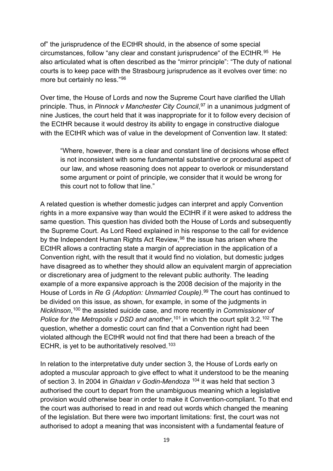of" the jurisprudence of the ECtHR should, in the absence of some special circumstances, follow "any clear and constant jurisprudence" of the ECtHR.[95](#page-31-1) He also articulated what is often described as the "mirror principle": "The duty of national courts is to keep pace with the Strasbourg jurisprudence as it evolves over time: no more but certainly no less."[96](#page-31-2)

Over time, the House of Lords and now the Supreme Court have clarified the Ullah principle. Thus, in *Pinnock v Manchester City Council*, [97](#page-31-3) in a unanimous judgment of nine Justices, the court held that it was inappropriate for it to follow every decision of the ECtHR because it would destroy its ability to engage in constructive dialogue with the ECtHR which was of value in the development of Convention law. It stated:

"Where, however, there is a clear and constant line of decisions whose effect is not inconsistent with some fundamental substantive or procedural aspect of our law, and whose reasoning does not appear to overlook or misunderstand some argument or point of principle, we consider that it would be wrong for this court not to follow that line."

A related question is whether domestic judges can interpret and apply Convention rights in a more expansive way than would the ECtHR if it were asked to address the same question. This question has divided both the House of Lords and subsequently the Supreme Court. As Lord Reed explained in his response to the call for evidence by the Independent Human Rights Act Review,<sup>[98](#page-31-4)</sup> the issue has arisen where the ECtHR allows a contracting state a margin of appreciation in the application of a Convention right, with the result that it would find no violation, but domestic judges have disagreed as to whether they should allow an equivalent margin of appreciation or discretionary area of judgment to the relevant public authority. The leading example of a more expansive approach is the 2008 decision of the majority in the House of Lords in *Re G (Adoption: Unmarried Couple)*. [99](#page-31-5) The court has continued to be divided on this issue, as shown, for example, in some of the judgments in *Nicklinson*, [100](#page-31-6) the assisted suicide case, and more recently in *Commissioner of Police for the Metropolis v DSD and another*,<sup>[101](#page-31-7)</sup> in which the court split 3:2.<sup>[102](#page-31-8)</sup> The question, whether a domestic court can find that a Convention right had been violated although the ECtHR would not find that there had been a breach of the ECHR, is yet to be authoritatively resolved.[103](#page-31-9)

In relation to the interpretative duty under section 3, the House of Lords early on adopted a muscular approach to give effect to what it understood to be the meaning of section 3. In 2004 in *Ghaidan v Godin-Mendoza* [104](#page-31-10) it was held that section 3 authorised the court to depart from the unambiguous meaning which a legislative provision would otherwise bear in order to make it Convention-compliant. To that end the court was authorised to read in and read out words which changed the meaning of the legislation. But there were two important limitations: first, the court was not authorised to adopt a meaning that was inconsistent with a fundamental feature of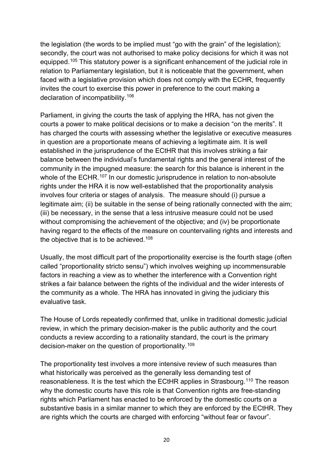the legislation (the words to be implied must "go with the grain" of the legislation); secondly, the court was not authorised to make policy decisions for which it was not equipped.<sup>[105](#page-31-11)</sup> This statutory power is a significant enhancement of the judicial role in relation to Parliamentary legislation, but it is noticeable that the government, when faced with a legislative provision which does not comply with the ECHR, frequently invites the court to exercise this power in preference to the court making a declaration of incompatibility.[106](#page-31-12)

Parliament, in giving the courts the task of applying the HRA, has not given the courts a power to make political decisions or to make a decision "on the merits". It has charged the courts with assessing whether the legislative or executive measures in question are a proportionate means of achieving a legitimate aim. It is well established in the jurisprudence of the ECtHR that this involves striking a fair balance between the individual's fundamental rights and the general interest of the community in the impugned measure: the search for this balance is inherent in the whole of the ECHR.<sup>[107](#page-31-13)</sup> In our domestic jurisprudence in relation to non-absolute rights under the HRA it is now well-established that the proportionality analysis involves four criteria or stages of analysis. The measure should (i) pursue a legitimate aim; (ii) be suitable in the sense of being rationally connected with the aim; (iii) be necessary, in the sense that a less intrusive measure could not be used without compromising the achievement of the objective; and (iv) be proportionate having regard to the effects of the measure on countervailing rights and interests and the objective that is to be achieved.<sup>[108](#page-31-14)</sup>

Usually, the most difficult part of the proportionality exercise is the fourth stage (often called "proportionality stricto sensu") which involves weighing up incommensurable factors in reaching a view as to whether the interference with a Convention right strikes a fair balance between the rights of the individual and the wider interests of the community as a whole. The HRA has innovated in giving the judiciary this evaluative task.

The House of Lords repeatedly confirmed that, unlike in traditional domestic judicial review, in which the primary decision-maker is the public authority and the court conducts a review according to a rationality standard, the court is the primary decision-maker on the question of proportionality.[109](#page-31-15)

The proportionality test involves a more intensive review of such measures than what historically was perceived as the generally less demanding test of reasonableness. It is the test which the ECtHR applies in Strasbourg.<sup>[110](#page-31-16)</sup> The reason why the domestic courts have this role is that Convention rights are free-standing rights which Parliament has enacted to be enforced by the domestic courts on a substantive basis in a similar manner to which they are enforced by the ECtHR. They are rights which the courts are charged with enforcing "without fear or favour".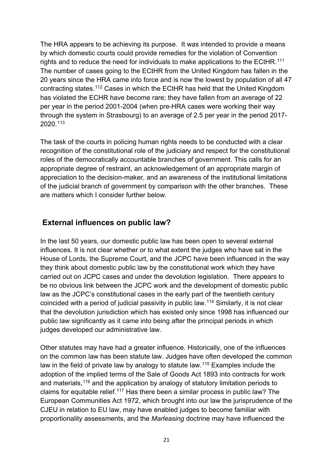The HRA appears to be achieving its purpose. It was intended to provide a means by which domestic courts could provide remedies for the violation of Convention rights and to reduce the need for individuals to make applications to the ECtHR.<sup>[111](#page-31-17)</sup> The number of cases going to the ECtHR from the United Kingdom has fallen in the 20 years since the HRA came into force and is now the lowest by population of all 47 contracting states. [112](#page-31-18) Cases in which the ECtHR has held that the United Kingdom has violated the ECHR have become rare; they have fallen from an average of 22 per year in the period 2001-2004 (when pre-HRA cases were working their way through the system in Strasbourg) to an average of 2.5 per year in the period 2017- 2020.[113](#page-31-19)

The task of the courts in policing human rights needs to be conducted with a clear recognition of the constitutional role of the judiciary and respect for the constitutional roles of the democratically accountable branches of government. This calls for an appropriate degree of restraint, an acknowledgement of an appropriate margin of appreciation to the decision-maker, and an awareness of the institutional limitations of the judicial branch of government by comparison with the other branches. These are matters which I consider further below.

#### **External influences on public law?**

In the last 50 years, our domestic public law has been open to several external influences. It is not clear whether or to what extent the judges who have sat in the House of Lords, the Supreme Court, and the JCPC have been influenced in the way they think about domestic public law by the constitutional work which they have carried out on JCPC cases and under the devolution legislation. There appears to be no obvious link between the JCPC work and the development of domestic public law as the JCPC's constitutional cases in the early part of the twentieth century coincided with a period of judicial passivity in public law.[114](#page-31-20) Similarly, it is not clear that the devolution jurisdiction which has existed only since 1998 has influenced our public law significantly as it came into being after the principal periods in which judges developed our administrative law.

Other statutes may have had a greater influence. Historically, one of the influences on the common law has been statute law. Judges have often developed the common law in the field of private law by analogy to statute law.<sup>[115](#page-31-21)</sup> Examples include the adoption of the implied terms of the Sale of Goods Act 1893 into contracts for work and materials,  $116$  and the application by analogy of statutory limitation periods to claims for equitable relief.[117](#page-31-23) Has there been a similar process in public law? The European Communities Act 1972, which brought into our law the jurisprudence of the CJEU in relation to EU law, may have enabled judges to become familiar with proportionality assessments, and the *Marleasing* doctrine may have influenced the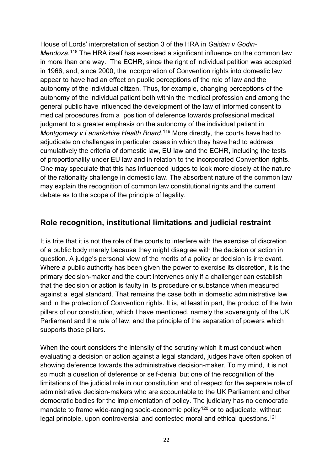House of Lords' interpretation of section 3 of the HRA in *Gaidan v Godin-*Mendoza.<sup>[118](#page-31-24)</sup> The HRA itself has exercised a significant influence on the common law in more than one way. The ECHR, since the right of individual petition was accepted in 1966, and, since 2000, the incorporation of Convention rights into domestic law appear to have had an effect on public perceptions of the role of law and the autonomy of the individual citizen. Thus, for example, changing perceptions of the autonomy of the individual patient both within the medical profession and among the general public have influenced the development of the law of informed consent to medical procedures from a position of deference towards professional medical judgment to a greater emphasis on the autonomy of the individual patient in Montgomery v Lanarkshire Health Board.<sup>[119](#page-31-25)</sup> More directly, the courts have had to adjudicate on challenges in particular cases in which they have had to address cumulatively the criteria of domestic law, EU law and the ECHR, including the tests of proportionality under EU law and in relation to the incorporated Convention rights. One may speculate that this has influenced judges to look more closely at the nature of the rationality challenge in domestic law. The absorbent nature of the common law may explain the recognition of common law constitutional rights and the current debate as to the scope of the principle of legality.

#### **Role recognition, institutional limitations and judicial restraint**

It is trite that it is not the role of the courts to interfere with the exercise of discretion of a public body merely because they might disagree with the decision or action in question. A judge's personal view of the merits of a policy or decision is irrelevant. Where a public authority has been given the power to exercise its discretion, it is the primary decision-maker and the court intervenes only if a challenger can establish that the decision or action is faulty in its procedure or substance when measured against a legal standard. That remains the case both in domestic administrative law and in the protection of Convention rights. It is, at least in part, the product of the twin pillars of our constitution, which I have mentioned, namely the sovereignty of the UK Parliament and the rule of law, and the principle of the separation of powers which supports those pillars.

When the court considers the intensity of the scrutiny which it must conduct when evaluating a decision or action against a legal standard, judges have often spoken of showing deference towards the administrative decision-maker. To my mind, it is not so much a question of deference or self-denial but one of the recognition of the limitations of the judicial role in our constitution and of respect for the separate role of administrative decision-makers who are accountable to the UK Parliament and other democratic bodies for the implementation of policy. The judiciary has no democratic mandate to frame wide-ranging socio-economic policy<sup>[120](#page-31-26)</sup> or to adjudicate, without legal principle, upon controversial and contested moral and ethical questions.<sup>[121](#page-31-27)</sup>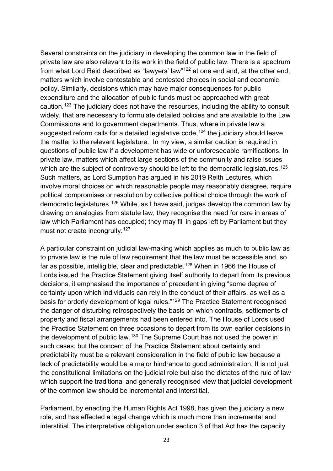Several constraints on the judiciary in developing the common law in the field of private law are also relevant to its work in the field of public law. There is a spectrum from what Lord Reid described as "lawyers' law"[122](#page-32-0) at one end and, at the other end, matters which involve contestable and contested choices in social and economic policy. Similarly, decisions which may have major consequences for public expenditure and the allocation of public funds must be approached with great caution.[123](#page-32-1) The judiciary does not have the resources, including the ability to consult widely, that are necessary to formulate detailed policies and are available to the Law Commissions and to government departments. Thus, where in private law a suggested reform calls for a detailed legislative code.<sup>[124](#page-32-2)</sup> the judiciary should leave the matter to the relevant legislature. In my view, a similar caution is required in questions of public law if a development has wide or unforeseeable ramifications. In private law, matters which affect large sections of the community and raise issues which are the subject of controversy should be left to the democratic legislatures.<sup>[125](#page-32-3)</sup> Such matters, as Lord Sumption has argued in his 2019 Reith Lectures, which involve moral choices on which reasonable people may reasonably disagree, require political compromises or resolution by collective political choice through the work of democratic legislatures.[126](#page-32-4) While, as I have said, judges develop the common law by drawing on analogies from statute law, they recognise the need for care in areas of law which Parliament has occupied; they may fill in gaps left by Parliament but they must not create incongruity.<sup>[127](#page-32-5)</sup>

A particular constraint on judicial law-making which applies as much to public law as to private law is the rule of law requirement that the law must be accessible and, so far as possible, intelligible, clear and predictable, <sup>[128](#page-32-6)</sup> When in 1966 the House of Lords issued the Practice Statement giving itself authority to depart from its previous decisions, it emphasised the importance of precedent in giving "some degree of certainty upon which individuals can rely in the conduct of their affairs, as well as a basis for orderly development of legal rules."[129](#page-32-7) The Practice Statement recognised the danger of disturbing retrospectively the basis on which contracts, settlements of property and fiscal arrangements had been entered into. The House of Lords used the Practice Statement on three occasions to depart from its own earlier decisions in the development of public law.<sup>[130](#page-32-8)</sup> The Supreme Court has not used the power in such cases; but the concern of the Practice Statement about certainty and predictability must be a relevant consideration in the field of public law because a lack of predictability would be a major hindrance to good administration. It is not just the constitutional limitations on the judicial role but also the dictates of the rule of law which support the traditional and generally recognised view that judicial development of the common law should be incremental and interstitial.

Parliament, by enacting the Human Rights Act 1998, has given the judiciary a new role, and has effected a legal change which is much more than incremental and interstitial. The interpretative obligation under section 3 of that Act has the capacity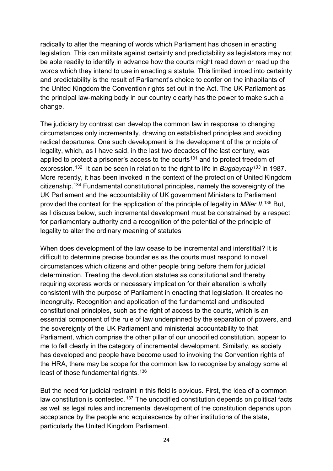radically to alter the meaning of words which Parliament has chosen in enacting legislation. This can militate against certainty and predictability as legislators may not be able readily to identify in advance how the courts might read down or read up the words which they intend to use in enacting a statute. This limited inroad into certainty and predictability is the result of Parliament's choice to confer on the inhabitants of the United Kingdom the Convention rights set out in the Act. The UK Parliament as the principal law-making body in our country clearly has the power to make such a change.

The judiciary by contrast can develop the common law in response to changing circumstances only incrementally, drawing on established principles and avoiding radical departures. One such development is the development of the principle of legality, which, as I have said, in the last two decades of the last century, was applied to protect a prisoner's access to the courts<sup>[131](#page-32-9)</sup> and to protect freedom of expression.[132](#page-32-10) It can be seen in relation to the right to life in *Bugdaycay[133](#page-32-11)* in 1987. More recently, it has been invoked in the context of the protection of United Kingdom citizenship.[134](#page-32-12) Fundamental constitutional principles, namely the sovereignty of the UK Parliament and the accountability of UK government Ministers to Parliament provided the context for the application of the principle of legality in *Miller II*. [135](#page-32-13) But, as I discuss below, such incremental development must be constrained by a respect for parliamentary authority and a recognition of the potential of the principle of legality to alter the ordinary meaning of statutes

When does development of the law cease to be incremental and interstitial? It is difficult to determine precise boundaries as the courts must respond to novel circumstances which citizens and other people bring before them for judicial determination. Treating the devolution statutes as constitutional and thereby requiring express words or necessary implication for their alteration is wholly consistent with the purpose of Parliament in enacting that legislation. It creates no incongruity. Recognition and application of the fundamental and undisputed constitutional principles, such as the right of access to the courts, which is an essential component of the rule of law underpinned by the separation of powers, and the sovereignty of the UK Parliament and ministerial accountability to that Parliament, which comprise the other pillar of our uncodified constitution, appear to me to fall clearly in the category of incremental development. Similarly, as society has developed and people have become used to invoking the Convention rights of the HRA, there may be scope for the common law to recognise by analogy some at least of those fundamental rights.<sup>[136](#page-32-14)</sup>

But the need for judicial restraint in this field is obvious. First, the idea of a common law constitution is contested.<sup>[137](#page-32-15)</sup> The uncodified constitution depends on political facts as well as legal rules and incremental development of the constitution depends upon acceptance by the people and acquiescence by other institutions of the state, particularly the United Kingdom Parliament.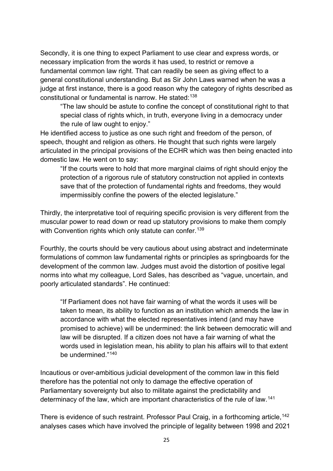Secondly, it is one thing to expect Parliament to use clear and express words, or necessary implication from the words it has used, to restrict or remove a fundamental common law right. That can readily be seen as giving effect to a general constitutional understanding. But as Sir John Laws warned when he was a judge at first instance, there is a good reason why the category of rights described as constitutional or fundamental is narrow. He stated:[138](#page-32-16)

"The law should be astute to confine the concept of constitutional right to that special class of rights which, in truth, everyone living in a democracy under the rule of law ought to enjoy."

He identified access to justice as one such right and freedom of the person, of speech, thought and religion as others. He thought that such rights were largely articulated in the principal provisions of the ECHR which was then being enacted into domestic law. He went on to say:

"If the courts were to hold that more marginal claims of right should enjoy the protection of a rigorous rule of statutory construction not applied in contexts save that of the protection of fundamental rights and freedoms, they would impermissibly confine the powers of the elected legislature."

Thirdly, the interpretative tool of requiring specific provision is very different from the muscular power to read down or read up statutory provisions to make them comply with Convention rights which only statute can confer.<sup>[139](#page-32-17)</sup>

Fourthly, the courts should be very cautious about using abstract and indeterminate formulations of common law fundamental rights or principles as springboards for the development of the common law. Judges must avoid the distortion of positive legal norms into what my colleague, Lord Sales, has described as "vague, uncertain, and poorly articulated standards". He continued:

"If Parliament does not have fair warning of what the words it uses will be taken to mean, its ability to function as an institution which amends the law in accordance with what the elected representatives intend (and may have promised to achieve) will be undermined: the link between democratic will and law will be disrupted. If a citizen does not have a fair warning of what the words used in legislation mean, his ability to plan his affairs will to that extent be undermined."[140](#page-32-18)

Incautious or over-ambitious judicial development of the common law in this field therefore has the potential not only to damage the effective operation of Parliamentary sovereignty but also to militate against the predictability and determinacy of the law, which are important characteristics of the rule of law.<sup>[141](#page-32-19)</sup>

There is evidence of such restraint. Professor Paul Craig, in a forthcoming article, [142](#page-32-20) analyses cases which have involved the principle of legality between 1998 and 2021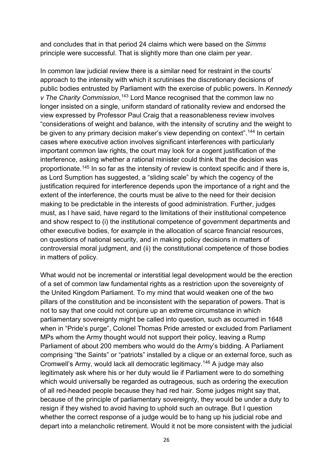and concludes that in that period 24 claims which were based on the *Simms* principle were successful. That is slightly more than one claim per year.

In common law judicial review there is a similar need for restraint in the courts' approach to the intensity with which it scrutinises the discretionary decisions of public bodies entrusted by Parliament with the exercise of public powers. In *Kennedy v The Charity Commission*, [143](#page-32-21) Lord Mance recognised that the common law no longer insisted on a single, uniform standard of rationality review and endorsed the view expressed by Professor Paul Craig that a reasonableness review involves "considerations of weight and balance, with the intensity of scrutiny and the weight to be given to any primary decision maker's view depending on context".<sup>[144](#page-32-22)</sup> In certain cases where executive action involves significant interferences with particularly important common law rights, the court may look for a cogent justification of the interference, asking whether a rational minister could think that the decision was proportionate.[145](#page-32-23) In so far as the intensity of review is context specific and if there is, as Lord Sumption has suggested, a "sliding scale" by which the cogency of the justification required for interference depends upon the importance of a right and the extent of the interference, the courts must be alive to the need for their decision making to be predictable in the interests of good administration. Further, judges must, as I have said, have regard to the limitations of their institutional competence and show respect to (i) the institutional competence of government departments and other executive bodies, for example in the allocation of scarce financial resources, on questions of national security, and in making policy decisions in matters of controversial moral judgment, and (ii) the constitutional competence of those bodies in matters of policy.

What would not be incremental or interstitial legal development would be the erection of a set of common law fundamental rights as a restriction upon the sovereignty of the United Kingdom Parliament. To my mind that would weaken one of the two pillars of the constitution and be inconsistent with the separation of powers. That is not to say that one could not conjure up an extreme circumstance in which parliamentary sovereignty might be called into question, such as occurred in 1648 when in "Pride's purge", Colonel Thomas Pride arrested or excluded from Parliament MPs whom the Army thought would not support their policy, leaving a Rump Parliament of about 200 members who would do the Army's bidding. A Parliament comprising "the Saints" or "patriots" installed by a clique or an external force, such as Cromwell's Army, would lack all democratic legitimacy.[146](#page-32-24) A judge may also legitimately ask where his or her duty would lie if Parliament were to do something which would universally be regarded as outrageous, such as ordering the execution of all red-headed people because they had red hair. Some judges might say that, because of the principle of parliamentary sovereignty, they would be under a duty to resign if they wished to avoid having to uphold such an outrage. But I question whether the correct response of a judge would be to hang up his judicial robe and depart into a melancholic retirement. Would it not be more consistent with the judicial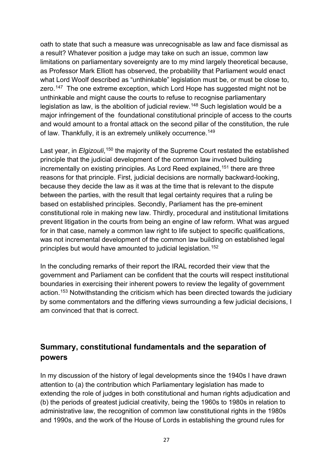oath to state that such a measure was unrecognisable as law and face dismissal as a result? Whatever position a judge may take on such an issue, common law limitations on parliamentary sovereignty are to my mind largely theoretical because, as Professor Mark Elliott has observed, the probability that Parliament would enact what Lord Woolf described as "unthinkable" legislation must be, or must be close to, zero.<sup>[147](#page-32-25)</sup> The one extreme exception, which Lord Hope has suggested might not be unthinkable and might cause the courts to refuse to recognise parliamentary legislation as law, is the abolition of judicial review.<sup>[148](#page-32-26)</sup> Such legislation would be a major infringement of the foundational constitutional principle of access to the courts and would amount to a frontal attack on the second pillar of the constitution, the rule of law. Thankfully, it is an extremely unlikely occurrence.<sup>[149](#page-32-27)</sup>

Last year, in *Elgizouli*,<sup>[150](#page-32-28)</sup> the majority of the Supreme Court restated the established principle that the judicial development of the common law involved building incrementally on existing principles. As Lord Reed explained,  $151$  there are three reasons for that principle. First, judicial decisions are normally backward-looking, because they decide the law as it was at the time that is relevant to the dispute between the parties, with the result that legal certainty requires that a ruling be based on established principles. Secondly, Parliament has the pre-eminent constitutional role in making new law. Thirdly, procedural and institutional limitations prevent litigation in the courts from being an engine of law reform. What was argued for in that case, namely a common law right to life subject to specific qualifications, was not incremental development of the common law building on established legal principles but would have amounted to judicial legislation.[152](#page-32-30)

In the concluding remarks of their report the IRAL recorded their view that the government and Parliament can be confident that the courts will respect institutional boundaries in exercising their inherent powers to review the legality of government action.<sup>[153](#page-32-31)</sup> Notwithstanding the criticism which has been directed towards the judiciary by some commentators and the differing views surrounding a few judicial decisions, I am convinced that that is correct.

#### **Summary, constitutional fundamentals and the separation of powers**

In my discussion of the history of legal developments since the 1940s I have drawn attention to (a) the contribution which Parliamentary legislation has made to extending the role of judges in both constitutional and human rights adjudication and (b) the periods of greatest judicial creativity, being the 1960s to 1980s in relation to administrative law, the recognition of common law constitutional rights in the 1980s and 1990s, and the work of the House of Lords in establishing the ground rules for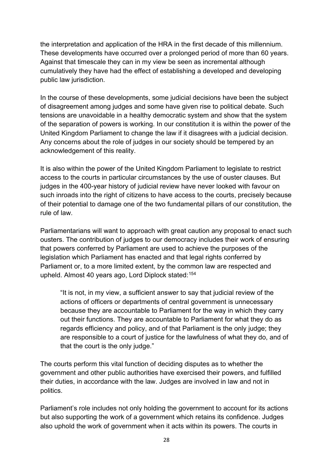the interpretation and application of the HRA in the first decade of this millennium. These developments have occurred over a prolonged period of more than 60 years. Against that timescale they can in my view be seen as incremental although cumulatively they have had the effect of establishing a developed and developing public law jurisdiction.

In the course of these developments, some judicial decisions have been the subject of disagreement among judges and some have given rise to political debate. Such tensions are unavoidable in a healthy democratic system and show that the system of the separation of powers is working. In our constitution it is within the power of the United Kingdom Parliament to change the law if it disagrees with a judicial decision. Any concerns about the role of judges in our society should be tempered by an acknowledgement of this reality.

It is also within the power of the United Kingdom Parliament to legislate to restrict access to the courts in particular circumstances by the use of ouster clauses. But judges in the 400-year history of judicial review have never looked with favour on such inroads into the right of citizens to have access to the courts, precisely because of their potential to damage one of the two fundamental pillars of our constitution, the rule of law.

Parliamentarians will want to approach with great caution any proposal to enact such ousters. The contribution of judges to our democracy includes their work of ensuring that powers conferred by Parliament are used to achieve the purposes of the legislation which Parliament has enacted and that legal rights conferred by Parliament or, to a more limited extent, by the common law are respected and upheld. Almost 40 years ago, Lord Diplock stated:[154](#page-32-32)

"It is not, in my view, a sufficient answer to say that judicial review of the actions of officers or departments of central government is unnecessary because they are accountable to Parliament for the way in which they carry out their functions. They are accountable to Parliament for what they do as regards efficiency and policy, and of that Parliament is the only judge; they are responsible to a court of justice for the lawfulness of what they do, and of that the court is the only judge."

The courts perform this vital function of deciding disputes as to whether the government and other public authorities have exercised their powers, and fulfilled their duties, in accordance with the law. Judges are involved in law and not in politics.

Parliament's role includes not only holding the government to account for its actions but also supporting the work of a government which retains its confidence. Judges also uphold the work of government when it acts within its powers. The courts in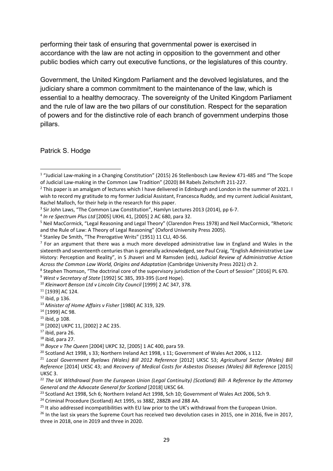performing their task of ensuring that governmental power is exercised in accordance with the law are not acting in opposition to the government and other public bodies which carry out executive functions, or the legislatures of this country.

Government, the United Kingdom Parliament and the devolved legislatures, and the judiciary share a common commitment to the maintenance of the law, which is essential to a healthy democracy. The sovereignty of the United Kingdom Parliament and the rule of law are the two pillars of our constitution. Respect for the separation of powers and for the distinctive role of each branch of government underpins those pillars.

Patrick S. Hodge

<span id="page-28-8"></span><sup>9</sup> *West v Secretary of State* [1992] SC 385, 393-395 (Lord Hope).<br><sup>10</sup> *Kleinwort Benson Ltd v Lincoln City Council* [1999] 2 AC 347, 378.

<span id="page-28-0"></span><sup>1</sup> "Judicial Law-making in a Changing Constitution" (2015) 26 Stellenbosch Law Review 471-485 and "The Scope of Judicial Law-making in the Common Law Tradition" (2020) 84 Rabels Zeitschrift 211-227.<br><sup>2</sup> This paper is an amalgam of lectures which I have delivered in Edinburgh and London in the summer of 2021. I

<span id="page-28-1"></span>wish to record my gratitude to my former Judicial Assistant, Francesca Ruddy, and my current Judicial Assistant, Rachel Malloch, for their help in the research for this paper.

<span id="page-28-2"></span><sup>&</sup>lt;sup>3</sup> Sir John Laws, "The Common Law Constitution", Hamlyn Lectures 2013 (2014), pp 6-7.<br><sup>4</sup> *In re Spectrum Plus Ltd* [2005] UKHL 41, [2005] 2 AC 680, para 32.

<span id="page-28-3"></span>

<span id="page-28-4"></span><sup>5</sup> Neil MacCormick, "Legal Reasoning and Legal Theory" (Clarendon Press 1978) and Neil MacCormick, "Rhetoric and the Rule of Law: A Theory of Legal Reasoning" (Oxford University Press 2005).

<span id="page-28-6"></span><span id="page-28-5"></span><sup>&</sup>lt;sup>6</sup> Stanley De Smith, "The Prerogative Writs" (1951) 11 CLJ, 40-56.<br><sup>7</sup> For an argument that there was a much more developed administrative law in England and Wales in the sixteenth and seventeenth centuries than is generally acknowledged, see Paul Craig, "English Administrative Law History: Perception and Reality", in S Jhaveri and M Ramsden (eds), *Judicial Review of Administrative Action Across the Common Law World, Origins and Adaptation* (Cambridge University Press 2021) ch 2.

<span id="page-28-7"></span><sup>8</sup> Stephen Thomson, "The doctrinal core of the supervisory jurisdiction of the Court of Session" [2016] PL 670.

<span id="page-28-10"></span><span id="page-28-9"></span><sup>11</sup> [1939] AC 124.

<span id="page-28-11"></span><sup>12</sup> ibid, p 136.

<span id="page-28-12"></span><sup>13</sup> *Minister of Home Affairs v Fisher* [1980] AC 319, 329.

<span id="page-28-13"></span><sup>14</sup> [1999] AC 98.

<span id="page-28-14"></span><sup>15</sup> ibid, p 108.

<span id="page-28-15"></span><sup>16</sup> [2002] UKPC 11, [2002] 2 AC 235.

<span id="page-28-16"></span> $17$  ibid, para 26.

<span id="page-28-17"></span> $18$  ibid, para 27.

<span id="page-28-18"></span><sup>19</sup> *Boyce v The Queen* [2004] UKPC 32, [2005] 1 AC 400, para 59.

<span id="page-28-19"></span><sup>&</sup>lt;sup>20</sup> Scotland Act 1998, s 33; Northern Ireland Act 1998, s 11; Government of Wales Act 2006, s 112.

<span id="page-28-20"></span><sup>21</sup> *Local Government Byelaws (Wales) Bill 2012 Reference* [2012] UKSC 53; *Agricultural Sector (Wales) Bill Reference* [2014] UKSC 43; and *Recovery of Medical Costs for Asbestos Diseases (Wales) Bill Reference* [2015] UKSC 3.

<span id="page-28-21"></span><sup>22</sup> *The UK Withdrawal from the European Union (Legal Continuity) (Scotland) Bill- A Reference by the Attorney General and the Advocate General for Scotland* [2018] UKSC 64.

<span id="page-28-22"></span><sup>&</sup>lt;sup>23</sup> Scotland Act 1998, Sch 6; Northern Ireland Act 1998, Sch 10; Government of Wales Act 2006, Sch 9.

<span id="page-28-23"></span><sup>&</sup>lt;sup>24</sup> Criminal Procedure (Scotland) Act 1995, ss 388Z, 288ZB and 288 AA.

<span id="page-28-25"></span><span id="page-28-24"></span><sup>&</sup>lt;sup>25</sup> It also addressed incompatibilities with EU law prior to the UK's withdrawal from the European Union.<br><sup>26</sup> In the last six years the Supreme Court has received two devolution cases in 2015, one in 2016, five in 2017, three in 2018, one in 2019 and three in 2020.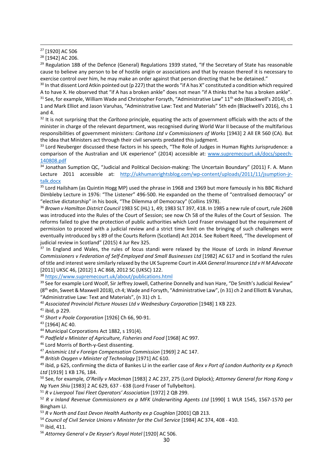<span id="page-29-1"></span><sup>28</sup> [1942] AC 206.

<span id="page-29-2"></span><sup>29</sup> Regulation 18B of the Defence (General) Regulations 1939 stated, "If the Secretary of State has reasonable cause to believe any person to be of hostile origin or associations and that by reason thereof it is necessary to exercise control over him, he may make an order against that person directing that he be detained."

<span id="page-29-3"></span> $30$  In that dissent Lord Atkin pointed out (p 227) that the words "if A has X" constituted a condition which required A to have X. He observed that "if A has a broken ankle" does not mean "if A thinks that he has a broken ankle".<br><sup>31</sup> See, for example, William Wade and Christopher Forsyth, "Administrative Law" 11<sup>th</sup> edn (Blackwell's 201

<span id="page-29-4"></span>1 and Mark Elliot and Jason Varuhas, "Administrative Law: Text and Materials" 5th edn (Blackwell's 2016), chs 1 and 4. 32 It is not surprising that the *Carltona* principle, equating the acts of government officials with the acts of the

<span id="page-29-5"></span>minister in charge of the relevant department, was recognised during World War II because of the multifarious responsibilities of government ministers: *Carltona Ltd v Commissioners of Works* [1943] 2 All ER 560 (CA). But the idea that Ministers act through their civil servants predated this judgment.

<span id="page-29-6"></span><sup>33</sup> Lord Neuberger discussed these factors in his speech, "The Role of Judges in Human Rights Jurisprudence: a comparison of the Australian and UK experience" (2014) accessible at: [www.supremecourt.uk/docs/speech-](http://www.supremecourt.uk/docs/speech-140808.pdf)[140808.pdf](http://www.supremecourt.uk/docs/speech-140808.pdf)

<span id="page-29-7"></span><sup>34</sup> Jonathan Sumption QC, "Judicial and Political Decision-making: The Uncertain Boundary" (2011) F. A. Mann Lecture 2011 accessible at: [http://ukhumanrightsblog.com/wp-content/uploads/2011/11/jsumption-jr](http://ukhumanrightsblog.com/wp-content/uploads/2011/11/jsumption-jr-talk.docx)[talk.docx](http://ukhumanrightsblog.com/wp-content/uploads/2011/11/jsumption-jr-talk.docx)

<span id="page-29-8"></span><sup>35</sup> Lord Hailsham (as Quintin Hogg MP) used the phrase in 1968 and 1969 but more famously in his BBC Richard Dimbleby Lecture in 1976: "The Listener" 496-500. He expanded on the theme of "centralised democracy" or "elective dictatorship" in his book, "The Dilemma of Democracy" (Collins 1978).

<span id="page-29-9"></span><sup>36</sup> *Brown v Hamilton District Council* 1983 SC (HL) 1, 49; 1983 SLT 397, 418. In 1985 a new rule of court, rule 260B was introduced into the Rules of the Court of Session; see now Ch 58 of the Rules of the Court of Session. The reforms failed to give the protection of public authorities which Lord Fraser envisaged but the requirement of permission to proceed with a judicial review and a strict time limit on the bringing of such challenges were eventually introduced by s 89 of the Courts Reform (Scotland) Act 2014. See Robert Reed, "The development of judicial review in Scotland" (2015) 4 Jur Rev 325.

<span id="page-29-10"></span><sup>37</sup> In England and Wales, the rules of locus standi were relaxed by the House of Lords in *Inland Revenue Commissioners v Federation of Self-Employed and Small Businesses Ltd* [1982] AC 617 and in Scotland the rules of title and interest were similarly relaxed by the UK Supreme Court in *AXA General Insurance Ltd v H M Advocate* 

<span id="page-29-11"></span>[2011] UKSC 46, [2012] 1 AC 868, 2012 SC (UKSC) 122. 38 <https://www.supremecourt.uk/about/publications.html>

<span id="page-29-12"></span><sup>39</sup> See for example Lord Woolf, Sir Jeffrey Jowell, Catherine Donnelly and Ivan Hare, "De Smith's Judicial Review" (8th edn, Sweet & Maxwell 2018), ch 4; Wade and Forsyth, "Administrative Law", (n 31) ch 2 and Elliott & Varuhas, "Administrative Law: Text and Materials", (n 31) ch 1. 40 *Associated Provincial Picture Houses Ltd v Wednesbury Corporation* [1948] 1 KB 223.

<span id="page-29-14"></span><span id="page-29-13"></span> $41$  ibid, p 229.

<span id="page-29-15"></span><sup>42</sup> *Short v Poole Corporation* [1926] Ch 66, 90-91.

<span id="page-29-16"></span><sup>43</sup> [1964] AC 40.

<span id="page-29-17"></span><sup>44</sup> Municipal Corporations Act 1882, s 191(4).

<span id="page-29-18"></span><sup>45</sup> *Padfield v Minister of Agriculture, Fisheries and Food* [1968] AC 997.

<span id="page-29-19"></span><sup>46</sup> Lord Morris of Borth-y-Gest dissenting.

<span id="page-29-20"></span><sup>47</sup> *Anisminic Ltd v Foreign Compensation Commission* [1969] 2 AC 147.

<span id="page-29-21"></span><sup>48</sup> *British Oxygen v Minister of Technology* [1971] AC 610.

<span id="page-29-22"></span><sup>49</sup> ibid, p 625, confirming the dicta of Bankes LJ in the earlier case of *Rex v Port of London Authority ex p Kynoch Ltd* [1919] 1 KB 176, 184.

<span id="page-29-23"></span><sup>50</sup> See, for example*, O'Reilly v Mackman* [1983] 2 AC 237, 275 (Lord Diplock); *Attorney General for Hong Kong v Ng Yuen Shiu* [1983] 2 AC 629, 637 - 638 (Lord Fraser of Tullybelton).

<span id="page-29-24"></span><sup>51</sup> *R v Liverpool Taxi Fleet Operators' Association* [1972] 2 QB 299.

<span id="page-29-25"></span><sup>52</sup> *R v Inland Revenue Commissioners ex p MFK Underwriting Agents Ltd* [1990] 1 WLR 1545, 1567-1570 per Bingham LJ.

<span id="page-29-26"></span><sup>53</sup> R v North and East Devon Health Authority ex p Coughlan [2001] QB 213.

<span id="page-29-27"></span><sup>54</sup> *Council of Civil Service Unions v Minister for the Civil Service* [1984] AC 374, 408 - 410.

<span id="page-29-28"></span><sup>55</sup> ibid, 411.

<span id="page-29-29"></span><sup>56</sup> *Attorney General v De Keyser's Royal Hotel* [1920] AC 506.

<span id="page-29-0"></span><sup>27</sup> [1920] AC 506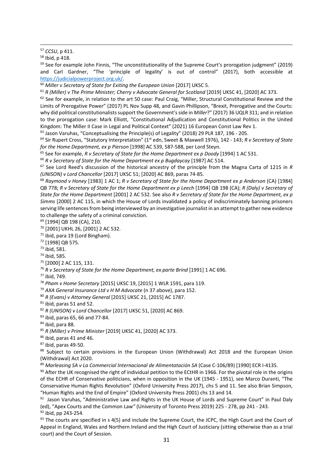<span id="page-30-2"></span><sup>59</sup> See for example John Finnis, "The unconstitutionality of the Supreme Court's prorogation judgment" (2019) and Carl Gardner, "The 'principle of legality' is out of control" (2017), both accessible at

[https://judicialpowerproject.org.uk/.](https://judicialpowerproject.org.uk/)<br><sup>60</sup> Miller v Secretary of State for Exiting the European Union [2017] UKSC 5.

<span id="page-30-4"></span><span id="page-30-3"></span><sup>61</sup> *R (Miller) v The Prime Minister; Cherry v Advocate General for Scotland* [2019] UKSC 41, [2020] AC 373.

<span id="page-30-5"></span> $62$  See for example, in relation to the art 50 case: Paul Craig, "Miller, Structural Constitutional Review and the Limits of Prerogative Power" (2017) PL Nov Supp 48, and Gavin Phillipson, "Brexit, Prerogative and the Courts: why did political constitutionalists support the Government's side in *Miller*?" (2017) 36 UQLR 311; and in relation to the prorogation case: Mark Elliott, "Constitutional Adjudication and Constitutional Politics in the United Kingdom: The Miller II Case in Legal and Political Context" (2021) 16 European Const Law Rev 1.

<span id="page-30-6"></span><sup>63</sup> Jason Varuhas, "Conceptualising the Principle(s) of Legality" (2018) 29 PLR 187, 196 - 205.<br><sup>64</sup> Sir Rupert Cross, "Statutory Interpretation" (1<sup>st</sup> edn, Sweet & Maxwell 1976), 142 - 143; *R v Secretary of State* 

<span id="page-30-7"></span>*for the Home Department, ex p Pierson* [1998] AC 539, 587-588, per Lord Steyn.

<span id="page-30-8"></span><sup>65</sup> See for example, *R v Secretary of State for the Home Department ex p Doody* [1994] 1 AC 531.

<span id="page-30-9"></span><sup>66</sup> *R v Secretary of State for the Home Department ex p Bugdaycay* [1987] AC 514.

<span id="page-30-10"></span><sup>67</sup> See Lord Reed's discussion of the historical ancestry of the principle from the Magna Carta of 1215 in *R (UNISON) v Lord Chancellor* [2017] UKSC 51; [2020] AC 869, paras 74-85.

<span id="page-30-11"></span><sup>68</sup> *Raymond v Honey* [1983] 1 AC 1; *R v Secretary of State for the Home Department ex p Anderson* (CA) [1984] QB 778; *R v Secretary of State for the Home Department ex p Leech* [1994] QB 198 (CA); *R (Daly) v Secretary of State for the Home Department* [2001] 2 AC 532. See also *R v Secretary of State for the Home Department, ex p Simms* [2000] 2 AC 115, in which the House of Lords invalidated a policy of indiscriminately banning prisoners serving life sentences from being interviewed by an investigative journalist in an attempt to gather new evidence to challenge the safety of a criminal conviction.

<span id="page-30-12"></span><sup>69</sup> [1994] QB 198 (CA), 210.

<span id="page-30-13"></span><sup>70</sup> [2001] UKHL 26, [2001] 2 AC 532.

<span id="page-30-14"></span> $71$  ibid, para 19 (Lord Bingham).<br> $72$  [1998] QB 575.

<span id="page-30-16"></span><span id="page-30-15"></span><sup>73</sup> ibid, 581.

<span id="page-30-17"></span><sup>74</sup> ibid, 585.

<span id="page-30-18"></span><sup>75</sup> [2000] 2 AC 115, 131.

<span id="page-30-19"></span><sup>76</sup> R v Secretary of State for the Home Department, ex parte Brind [1991] 1 AC 696.

<span id="page-30-20"></span><sup>77</sup> ibid, 749.

<span id="page-30-21"></span><sup>78</sup> *Pham v Home Secretary* [2015] UKSC 19, [2015] 1 WLR 1591, para 119.

<span id="page-30-22"></span><sup>79</sup> *AXA General Insurance Ltd v H M Advocate* (n 37 above), para 152.

<span id="page-30-23"></span><sup>80</sup> *R (Evans) v Attorney General* [2015] UKSC 21, [2015] AC 1787.

<span id="page-30-24"></span> $81$  ibid, paras 51 and 52.

<span id="page-30-25"></span><sup>82</sup> *R (UNISON) v Lord Chancellor* [2017] UKSC 51, [2020] AC 869.

<span id="page-30-26"></span><sup>83</sup> ibid, paras 65, 66 and 77-84.

<span id="page-30-27"></span>84 ibid, para 88.

<span id="page-30-28"></span><sup>85</sup> *R (Miller) v Prime Minister* [2019] UKSC 41, [2020] AC 373.

<span id="page-30-29"></span> $86$  ibid, paras 41 and 46.

<span id="page-30-30"></span> $87$  ibid, paras 49-50.

<span id="page-30-31"></span>88 Subject to certain provisions in the European Union (Withdrawal) Act 2018 and the European Union (Withdrawal) Act 2020.

<span id="page-30-32"></span><sup>89</sup> Marleasing SA v La Commercial Internacional de Alimentatación SA (Case C-106/89) [1990] ECR I-4135.<br><sup>90</sup> After the UK recognised the right of individual petition to the ECtHR in 1966. For the pivotal role in the origi

<span id="page-30-33"></span>of the ECHR of Conservative politicians, when in opposition in the UK (1945 - 1951), see Marco Duranti, "The Conservative Human Rights Revolution" (Oxford University Press 2017), chs 5 and 11. See also Brian Simpson, "Human Rights and the End of Empire" (Oxford University Press 2001) chs 13 and 14.

<span id="page-30-34"></span>91 Jason Varuhas, "Administrative Law and Rights in the UK House of Lords and Supreme Court" in Paul Daly (ed), "Apex Courts and the Common Law*"* (University of Toronto Press 2019) 225 - 278, pp 241 - 243. <sup>92</sup> ibid, pp 243-254.

<span id="page-30-36"></span><span id="page-30-35"></span> $93$  The courts are specified in s 4(5) and include the Supreme Court, the JCPC, the High Court and the Court of Appeal in England, Wales and Northern Ireland and the High Court of Justiciary (sitting otherwise than as a trial court) and the Court of Session.

<span id="page-30-0"></span><sup>57</sup> *CCSU*, p 411.

<span id="page-30-1"></span><sup>58</sup> Ibid, p 418.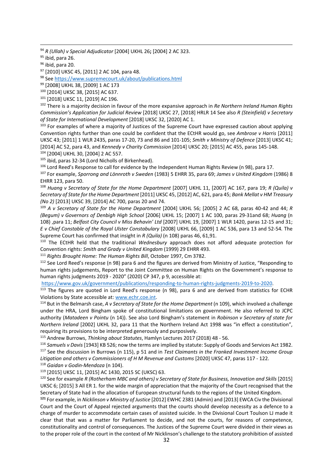<span id="page-31-0"></span><sup>94</sup> *R (Ullah) v Special Adjudicator* [2004] UKHL 26**;** [2004] 2 AC 323.

<span id="page-31-1"></span>95 ibid, para 26.

<span id="page-31-2"></span> $96$  ibid, para 20.

<span id="page-31-3"></span><sup>97</sup> [2010] UKSC 45, [2011] 2 AC 104, para 48.

<span id="page-31-4"></span><sup>98</sup> Se[e https://www.supremecourt.uk/about/publications.html](https://www.supremecourt.uk/about/publications.html)

<span id="page-31-5"></span><sup>99</sup> [2008] UKHL 38, [2009] 1 AC 173

<span id="page-31-6"></span><sup>100</sup> [2014] UKSC 38, [2015] AC 637.

<span id="page-31-7"></span><sup>101</sup> [2018] UKSC 11, [2019] AC 196.

<span id="page-31-8"></span><sup>102</sup> There is a majority decision in favour of the more expansive approach in *Re Northern Ireland Human Rights Commission's Application for Judicial Review* [2018] UKSC 27, [2018] HRLR 14 See also *R (Steinfield) v Secretary of State for International Development* [2018] UKSC 32, [2020] AC 1.

<span id="page-31-9"></span><sup>103</sup> For examples of where a majority of Justices of the Supreme Court have expressed caution about applying Convention rights further than one could be confident that the ECtHR would go, see *Ambrose v Harris* [2011] UKSC 43; [2011] 1 WLR 2435, paras 17-20, 73 and 86 and 101-105; *Smith v Ministry of Defence* [2013] UKSC 41; [2014] AC 52, para 43, and *Kennedy v Charity Commission* [2014] UKSC 20; [2015] AC 455, paras 145-148. <sup>104</sup> [2004] UKHL 30, [2004] 2 AC 557.

<span id="page-31-11"></span><span id="page-31-10"></span>105 ibid, paras 32-34 (Lord Nicholls of Birkenhead).

<span id="page-31-12"></span><sup>106</sup> Lord Reed's Response to call for evidence by the Independent Human Rights Review (n 98), para 17.

<span id="page-31-13"></span><sup>107</sup> For example, *Sporrong and Lönnroth v Sweden* (1983) 5 EHRR 35, para 69; *James v United Kingdom* (1986) 8 EHRR 123, para 50.

<span id="page-31-14"></span><sup>108</sup> *Huang v Secretary of State for the Home Department* [2007] UKHL 11, [2007] AC 167, para 19; *R (Quila) v Secretary of State for the Home Department* [2011] UKSC 45, [2012] AC, 621, para 45; *Bank Mellat v HM Treasury (No 2)* [2013] UKSC 39, [2014] AC 700, paras 20 and 74.

<span id="page-31-15"></span><sup>109</sup> *A v Secretary of State for the Home Department* [2004] UKHL 56; [2005] 2 AC 68, paras 40-42 and 44; *R (Begum) v Governors of Denbigh High School* [2006] UKHL 15; [2007] 1 AC 100, paras 29-31and 68; *Huang* (n 108) ,para 11; *Belfast City Council v Miss Behavin' Ltd* [2007] UKHL 19, [2007] 1 WLR 1420, paras 12-15 and 31; *E v Chief Constable of the Royal Ulster Constabulary* [2008] UKHL 66, [2009] 1 AC 536, para 13 and 52-54*.* The Supreme Court has confirmed that insight in *R (Quila)* (n 108) paras 46, 61,91.

<span id="page-31-16"></span><sup>110</sup> The ECtHR held that the traditional *Wednesbury* approach does not afford adequate protection for Convention rights: *Smith and Grady v United Kingdom* (1999) 29 EHRR 493. 111 *Rights Brought Home: The Human Rights Bill*, October 1997, Cm 3782.

<span id="page-31-18"></span><span id="page-31-17"></span><sup>112</sup> See Lord Reed's response (n 98) para 6 and the figures are derived from Ministry of Justice, "Responding to human rights judgements, Report to the Joint Committee on Human Rights on the Government's response to human rights judgments 2019 - 2020" (2020) CP 347, p 9, accessible at:

[https://www.gov.uk/government/publications/responding-to-human-rights-judgments-2019-to-2020.](https://www.gov.uk/government/publications/responding-to-human-rights-judgments-2019-to-2020)<br><sup>113</sup> The figures are quoted in Lord Reed's response (n 98), para 6 and are derived from statistics for ECHR

<span id="page-31-19"></span>Violations by State accessible at: [www.echr.coe.int.](http://www.echr.coe.int/)<br><sup>114</sup> But in the Belmarsh case, *A v Secretary of State for the Home Department* (n 109), which involved a challenge

<span id="page-31-20"></span>under the HRA, Lord Bingham spoke of constitutional limitations on government. He also referred to JCPC authority (*Matadeen v Pointu* (n 14)). See also Lord Bingham's statement in *Robinson v Secretary of state for Northern Ireland* [2002] UKHL 32, para 11 that the Northern Ireland Act 1998 was "in effect a constitution", requiring its provisions to be interpreted generously and purposively.

<span id="page-31-22"></span><span id="page-31-21"></span><sup>115</sup> Andrew Burrows, *Thinking about Statutes*, Hamlyn Lectures 2017 (2018) 48 - 56.<br><sup>116</sup> Samuels v Davis [1943] KB 526; now the terms are implied by statute: Supply of Goods and Services Act 1982.<br><sup>117</sup> See the discuss *Litigation and others v Commissioners of H M Revenue and Customs* [2020] UKSC 47, paras 117 - 122.

<span id="page-31-24"></span><span id="page-31-23"></span><sup>118</sup> *Gaidan v Godin-Mendoza* (n 104).

<span id="page-31-25"></span><sup>119</sup> [2015] UKSC 11, [2015] AC 1430, 2015 SC (UKSC) 63.

<span id="page-31-26"></span><sup>120</sup> See for example *R (Rotherham MBC and others) v Secretary of State for Business, Innovation and Skills* [2015] UKSC 6; [2015] 3 All ER 1. for the wide margin of appreciation that the majority of the Court recognised that the Secretary of State had in the allocation of European structural funds to the regions of the United Kingdom.

<span id="page-31-27"></span>**<sup>121</sup>** For example, in *Nicklinson v Ministry of Justice* [2012] EWHC 2381 (Admin) and [2013] EWCA Civ the Divisional Court and the Court of Appeal rejected arguments that the courts should develop necessity as a defence to a charge of murder to accommodate certain cases of assisted suicide. In the Divisional Court Toulson LJ made it clear that that was a matter for Parliament to decide, and not the courts, for reasons of competence, constitutionality and control of consequences. The Justices of the Supreme Court were divided in their views as to the proper role of the court in the context of Mr Nicklinson's challenge to the statutory prohibition of assisted